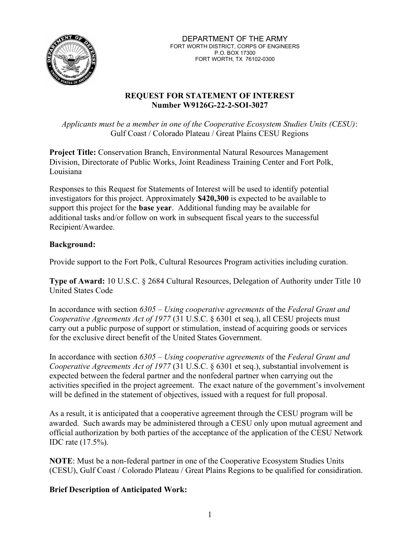

## REQUEST FOR STATEMENT OF INTEREST Number W9126G-22-2-SOI-3027

Applicants must be a member in one of the Cooperative Ecosystem Studies Units (CESU): Gulf Coast / Colorado Plateau / Great Plains CESU Regions

Project Title: Conservation Branch, Environmental Natural Resources Management Division, Directorate of Public Works, Joint Readiness Training Center and Fort Polk, Louisiana

Responses to this Request for Statements of Interest will be used to identify potential investigators for this project. Approximately \$420,300 is expected to be available to support this project for the base year. Additional funding may be available for additional tasks and/or follow on work in subsequent fiscal years to the successful Recipient/Awardee.

# Background:

Provide support to the Fort Polk, Cultural Resources Program activities including curation.

Type of Award: 10 U.S.C. § 2684 Cultural Resources, Delegation of Authority under Title 10 United States Code

In accordance with section  $6305 - Using coperative agreements$  of the Federal Grant and Cooperative Agreements Act of 1977 (31 U.S.C. § 6301 et seq.), all CESU projects must carry out a public purpose of support or stimulation, instead of acquiring goods or services for the exclusive direct benefit of the United States Government.

In accordance with section  $6305 - Using coperative agreements$  of the Federal Grant and Cooperative Agreements Act of 1977 (31 U.S.C. § 6301 et seq.), substantial involvement is expected between the federal partner and the nonfederal partner when carrying out the activities specified in the project agreement. The exact nature of the government's involvement will be defined in the statement of objectives, issued with a request for full proposal.

As a result, it is anticipated that a cooperative agreement through the CESU program will be awarded. Such awards may be administered through a CESU only upon mutual agreement and official authorization by both parties of the acceptance of the application of the CESU Network IDC rate (17.5%).

NOTE: Must be a non-federal partner in one of the Cooperative Ecosystem Studies Units (CESU), Gulf Coast / Colorado Plateau / Great Plains Regions to be qualified for considiration.

### Brief Description of Anticipated Work: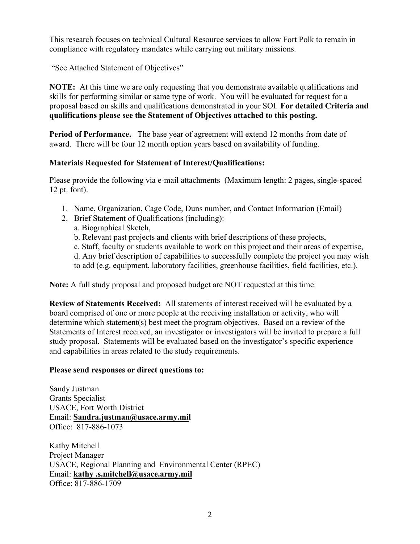This research focuses on technical Cultural Resource services to allow Fort Polk to remain in compliance with regulatory mandates while carrying out military missions.

"See Attached Statement of Objectives"

NOTE: At this time we are only requesting that you demonstrate available qualifications and skills for performing similar or same type of work. You will be evaluated for request for a proposal based on skills and qualifications demonstrated in your SOI. For detailed Criteria and qualifications please see the Statement of Objectives attached to this posting.

Period of Performance. The base year of agreement will extend 12 months from date of award. There will be four 12 month option years based on availability of funding.

# Materials Requested for Statement of Interest/Qualifications:

Please provide the following via e-mail attachments (Maximum length: 2 pages, single-spaced 12 pt. font).

- 1. Name, Organization, Cage Code, Duns number, and Contact Information (Email)
- 2. Brief Statement of Qualifications (including):
	- a. Biographical Sketch,
	- b. Relevant past projects and clients with brief descriptions of these projects,
	- c. Staff, faculty or students available to work on this project and their areas of expertise,
	- d. Any brief description of capabilities to successfully complete the project you may wish
	- to add (e.g. equipment, laboratory facilities, greenhouse facilities, field facilities, etc.).

Note: A full study proposal and proposed budget are NOT requested at this time.

Review of Statements Received: All statements of interest received will be evaluated by a board comprised of one or more people at the receiving installation or activity, who will determine which statement(s) best meet the program objectives. Based on a review of the Statements of Interest received, an investigator or investigators will be invited to prepare a full study proposal. Statements will be evaluated based on the investigator's specific experience and capabilities in areas related to the study requirements.

### Please send responses or direct questions to:

Sandy Justman Grants Specialist USACE, Fort Worth District Email: Sandra.justman@usace.army.mil Office: 817-886-1073

Kathy Mitchell Project Manager USACE, Regional Planning and Environmental Center (RPEC) Email: kathy .s.mitchell@usace.army.mil Office: 817-886-1709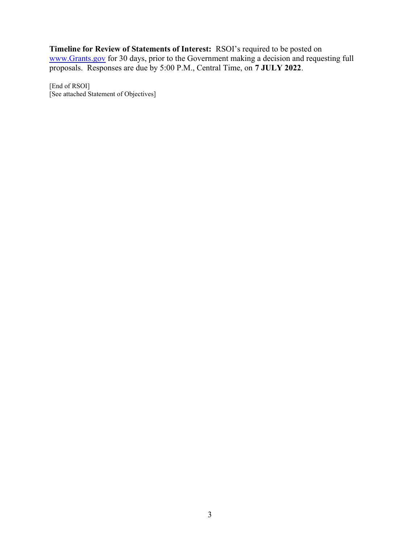Timeline for Review of Statements of Interest: RSOI's required to be posted on www.Grants.gov for 30 days, prior to the Government making a decision and requesting full proposals. Responses are due by 5:00 P.M., Central Time, on 7 JULY 2022.

[End of RSOI] [See attached Statement of Objectives]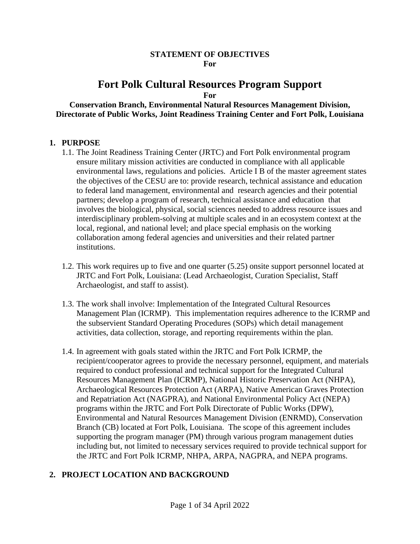#### **STATEMENT OF OBJECTIVES For**

# **Fort Polk Cultural Resources Program Support**

**For**

### **Conservation Branch, Environmental Natural Resources Management Division, Directorate of Public Works, Joint Readiness Training Center and Fort Polk, Louisiana**

### **1. PURPOSE**

- 1.1. The Joint Readiness Training Center (JRTC) and Fort Polk environmental program ensure military mission activities are conducted in compliance with all applicable environmental laws, regulations and policies. Article I B of the master agreement states the objectives of the CESU are to: provide research, technical assistance and education to federal land management, environmental and research agencies and their potential partners; develop a program of research, technical assistance and education that involves the biological, physical, social sciences needed to address resource issues and interdisciplinary problem-solving at multiple scales and in an ecosystem context at the local, regional, and national level; and place special emphasis on the working collaboration among federal agencies and universities and their related partner institutions.
- 1.2. This work requires up to five and one quarter (5.25) onsite support personnel located at JRTC and Fort Polk, Louisiana: (Lead Archaeologist, Curation Specialist, Staff Archaeologist, and staff to assist).
- 1.3. The work shall involve: Implementation of the Integrated Cultural Resources Management Plan (ICRMP). This implementation requires adherence to the ICRMP and the subservient Standard Operating Procedures (SOPs) which detail management activities, data collection, storage, and reporting requirements within the plan.
- 1.4. In agreement with goals stated within the JRTC and Fort Polk ICRMP, the recipient/cooperator agrees to provide the necessary personnel, equipment, and materials required to conduct professional and technical support for the Integrated Cultural Resources Management Plan (ICRMP), National Historic Preservation Act (NHPA), Archaeological Resources Protection Act (ARPA), Native American Graves Protection and Repatriation Act (NAGPRA), and National Environmental Policy Act (NEPA) programs within the JRTC and Fort Polk Directorate of Public Works (DPW), Environmental and Natural Resources Management Division (ENRMD), Conservation Branch (CB) located at Fort Polk, Louisiana. The scope of this agreement includes supporting the program manager (PM) through various program management duties including but, not limited to necessary services required to provide technical support for the JRTC and Fort Polk ICRMP, NHPA, ARPA, NAGPRA, and NEPA programs.

# **2. PROJECT LOCATION AND BACKGROUND**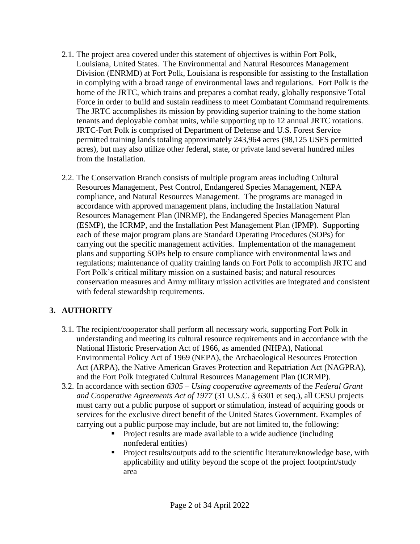- 2.1. The project area covered under this statement of objectives is within Fort Polk, Louisiana, United States. The Environmental and Natural Resources Management Division (ENRMD) at Fort Polk, Louisiana is responsible for assisting to the Installation in complying with a broad range of environmental laws and regulations. Fort Polk is the home of the JRTC, which trains and prepares a combat ready, globally responsive Total Force in order to build and sustain readiness to meet Combatant Command requirements. The JRTC accomplishes its mission by providing superior training to the home station tenants and deployable combat units, while supporting up to 12 annual JRTC rotations. JRTC-Fort Polk is comprised of Department of Defense and U.S. Forest Service permitted training lands totaling approximately 243,964 acres (98,125 USFS permitted acres), but may also utilize other federal, state, or private land several hundred miles from the Installation.
- 2.2. The Conservation Branch consists of multiple program areas including Cultural Resources Management, Pest Control, Endangered Species Management, NEPA compliance, and Natural Resources Management. The programs are managed in accordance with approved management plans, including the Installation Natural Resources Management Plan (INRMP), the Endangered Species Management Plan (ESMP), the ICRMP, and the Installation Pest Management Plan (IPMP). Supporting each of these major program plans are Standard Operating Procedures (SOPs) for carrying out the specific management activities. Implementation of the management plans and supporting SOPs help to ensure compliance with environmental laws and regulations; maintenance of quality training lands on Fort Polk to accomplish JRTC and Fort Polk's critical military mission on a sustained basis; and natural resources conservation measures and Army military mission activities are integrated and consistent with federal stewardship requirements.

# **3. AUTHORITY**

- 3.1. The recipient/cooperator shall perform all necessary work, supporting Fort Polk in understanding and meeting its cultural resource requirements and in accordance with the National Historic Preservation Act of 1966, as amended (NHPA), National Environmental Policy Act of 1969 (NEPA), the Archaeological Resources Protection Act (ARPA), the Native American Graves Protection and Repatriation Act (NAGPRA), and the Fort Polk Integrated Cultural Resources Management Plan (ICRMP).
- 3.2. In accordance with section *6305 – Using cooperative agreements* of the *Federal Grant and Cooperative Agreements Act of 1977* (31 U.S.C. § 6301 et seq.), all CESU projects must carry out a public purpose of support or stimulation, instead of acquiring goods or services for the exclusive direct benefit of the United States Government. Examples of carrying out a public purpose may include, but are not limited to, the following:
	- Project results are made available to a wide audience (including nonfederal entities)
	- Project results/outputs add to the scientific literature/knowledge base, with applicability and utility beyond the scope of the project footprint/study area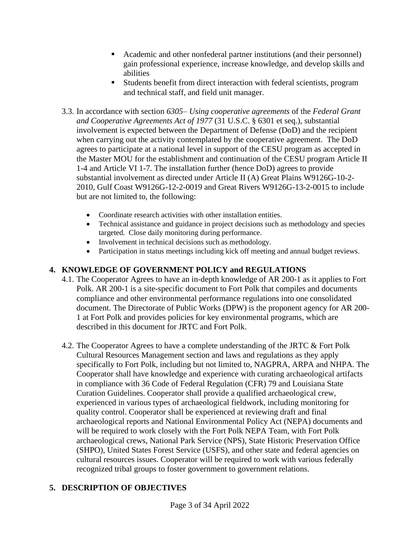- Academic and other nonfederal partner institutions (and their personnel) gain professional experience, increase knowledge, and develop skills and abilities
- Students benefit from direct interaction with federal scientists, program and technical staff, and field unit manager.
- 3.3. In accordance with section *6305– Using cooperative agreements* of the *Federal Grant and Cooperative Agreements Act of 1977* (31 U.S.C. § 6301 et seq.), substantial involvement is expected between the Department of Defense (DoD) and the recipient when carrying out the activity contemplated by the cooperative agreement. The DoD agrees to participate at a national level in support of the CESU program as accepted in the Master MOU for the establishment and continuation of the CESU program Article II 1-4 and Article VI 1-7. The installation further (hence DoD) agrees to provide substantial involvement as directed under Article II (A) Great Plains W9126G-10-2- 2010, Gulf Coast W9126G-12-2-0019 and Great Rivers W9126G-13-2-0015 to include but are not limited to, the following:
	- Coordinate research activities with other installation entities.
	- Technical assistance and guidance in project decisions such as methodology and species targeted. Close daily monitoring during performance.
	- Involvement in technical decisions such as methodology.
	- Participation in status meetings including kick off meeting and annual budget reviews.

# **4. KNOWLEDGE OF GOVERNMENT POLICY and REGULATIONS**

- 4.1. The Cooperator Agrees to have an in-depth knowledge of AR 200-1 as it applies to Fort Polk. AR 200-1 is a site-specific document to Fort Polk that compiles and documents compliance and other environmental performance regulations into one consolidated document. The Directorate of Public Works (DPW) is the proponent agency for AR 200- 1 at Fort Polk and provides policies for key environmental programs, which are described in this document for JRTC and Fort Polk.
- 4.2. The Cooperator Agrees to have a complete understanding of the JRTC & Fort Polk Cultural Resources Management section and laws and regulations as they apply specifically to Fort Polk, including but not limited to, NAGPRA, ARPA and NHPA. The Cooperator shall have knowledge and experience with curating archaeological artifacts in compliance with 36 Code of Federal Regulation (CFR) 79 and Louisiana State Curation Guidelines. Cooperator shall provide a qualified archaeological crew, experienced in various types of archaeological fieldwork, including monitoring for quality control. Cooperator shall be experienced at reviewing draft and final archaeological reports and National Environmental Policy Act (NEPA) documents and will be required to work closely with the Fort Polk NEPA Team, with Fort Polk archaeological crews, National Park Service (NPS), State Historic Preservation Office (SHPO), United States Forest Service (USFS), and other state and federal agencies on cultural resources issues. Cooperator will be required to work with various federally recognized tribal groups to foster government to government relations.

# **5. DESCRIPTION OF OBJECTIVES**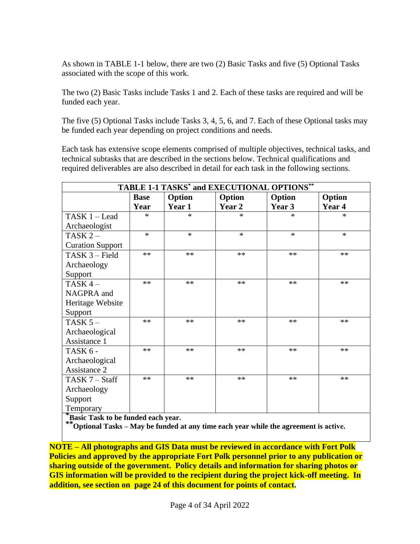As shown in TABLE 1-1 below, there are two (2) Basic Tasks and five (5) Optional Tasks associated with the scope of this work.

The two (2) Basic Tasks include Tasks 1 and 2. Each of these tasks are required and will be funded each year.

The five (5) Optional Tasks include Tasks 3, 4, 5, 6, and 7. Each of these Optional tasks may be funded each year depending on project conditions and needs.

Each task has extensive scope elements comprised of multiple objectives, technical tasks, and technical subtasks that are described in the sections below. Technical qualifications and required deliverables are also described in detail for each task in the following sections.

| TABLE 1-1 TASKS <sup>*</sup> and EXECUTIONAL OPTIONS <sup>**</sup> |             |        |        |        |        |
|--------------------------------------------------------------------|-------------|--------|--------|--------|--------|
|                                                                    | <b>Base</b> | Option | Option | Option | Option |
|                                                                    | Year        | Year 1 | Year 2 | Year 3 | Year 4 |
| TASK 1 - Lead                                                      | $\ast$      | $\ast$ | $\ast$ | $\ast$ | $\ast$ |
| Archaeologist                                                      |             |        |        |        |        |
| TASK $2-$                                                          | $\ast$      | $\ast$ | $\ast$ | $\ast$ | $\ast$ |
| <b>Curation Support</b>                                            |             |        |        |        |        |
| TASK 3 - Field                                                     | $**$        | $**$   | $**$   | $**$   | $**$   |
| Archaeology                                                        |             |        |        |        |        |
| Support                                                            |             |        |        |        |        |
| TASK $4-$                                                          | **          | $**$   | $**$   | $***$  | $**$   |
| NAGPRA and                                                         |             |        |        |        |        |
| Heritage Website                                                   |             |        |        |        |        |
| Support                                                            |             |        |        |        |        |
| TASK $5-$                                                          | **          | $**$   | $**$   | **     | **     |
| Archaeological                                                     |             |        |        |        |        |
| Assistance 1                                                       |             |        |        |        |        |
| TASK 6 -                                                           | $**$        | $**$   | $**$   | $***$  | $**$   |
| Archaeological                                                     |             |        |        |        |        |
| Assistance 2                                                       |             |        |        |        |        |
| TASK 7 - Staff                                                     | **          | $**$   | $**$   | $***$  | **     |
| Archaeology                                                        |             |        |        |        |        |
| Support                                                            |             |        |        |        |        |
| Temporary<br>$* -$                                                 |             |        |        |        |        |

**\*Basic Task to be funded each year.**

**\*\*Optional Tasks – May be funded at any time each year while the agreement is active.**

**NOTE – All photographs and GIS Data must be reviewed in accordance with Fort Polk Policies and approved by the appropriate Fort Polk personnel prior to any publication or sharing outside of the government. Policy details and information for sharing photos or GIS information will be provided to the recipient during the project kick-off meeting. In addition, see section on page 24 of this document for points of contact.**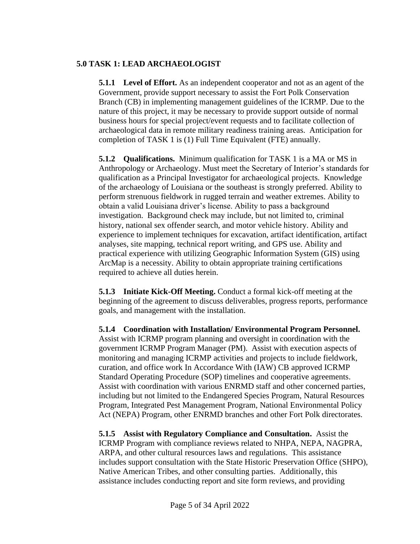# **5.0 TASK 1: LEAD ARCHAEOLOGIST**

**5.1.1 Level of Effort.** As an independent cooperator and not as an agent of the Government, provide support necessary to assist the Fort Polk Conservation Branch (CB) in implementing management guidelines of the ICRMP. Due to the nature of this project, it may be necessary to provide support outside of normal business hours for special project/event requests and to facilitate collection of archaeological data in remote military readiness training areas. Anticipation for completion of TASK 1 is (1) Full Time Equivalent (FTE) annually.

**5.1.2 Qualifications.** Minimum qualification for TASK 1 is a MA or MS in Anthropology or Archaeology. Must meet the Secretary of Interior's standards for qualification as a Principal Investigator for archaeological projects. Knowledge of the archaeology of Louisiana or the southeast is strongly preferred. Ability to perform strenuous fieldwork in rugged terrain and weather extremes. Ability to obtain a valid Louisiana driver's license. Ability to pass a background investigation. Background check may include, but not limited to, criminal history, national sex offender search, and motor vehicle history. Ability and experience to implement techniques for excavation, artifact identification, artifact analyses, site mapping, technical report writing, and GPS use. Ability and practical experience with utilizing Geographic Information System (GIS) using ArcMap is a necessity. Ability to obtain appropriate training certifications required to achieve all duties herein.

**5.1.3 Initiate Kick-Off Meeting.** Conduct a formal kick-off meeting at the beginning of the agreement to discuss deliverables, progress reports, performance goals, and management with the installation.

**5.1.4 Coordination with Installation/ Environmental Program Personnel.** Assist with ICRMP program planning and oversight in coordination with the government ICRMP Program Manager (PM). Assist with execution aspects of monitoring and managing ICRMP activities and projects to include fieldwork, curation, and office work In Accordance With (IAW) CB approved ICRMP Standard Operating Procedure (SOP) timelines and cooperative agreements. Assist with coordination with various ENRMD staff and other concerned parties, including but not limited to the Endangered Species Program, Natural Resources Program, Integrated Pest Management Program, National Environmental Policy Act (NEPA) Program, other ENRMD branches and other Fort Polk directorates.

**5.1.5 Assist with Regulatory Compliance and Consultation.** Assist the ICRMP Program with compliance reviews related to NHPA, NEPA, NAGPRA, ARPA, and other cultural resources laws and regulations. This assistance includes support consultation with the State Historic Preservation Office (SHPO), Native American Tribes, and other consulting parties. Additionally, this assistance includes conducting report and site form reviews, and providing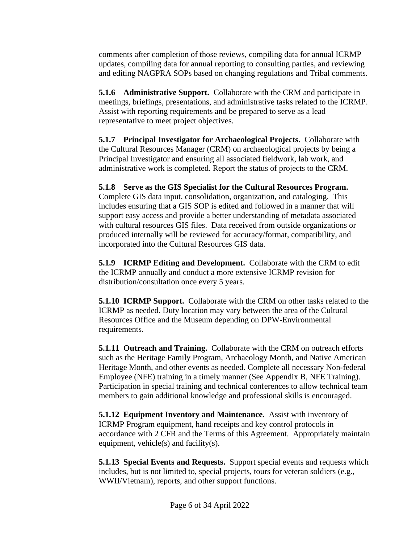comments after completion of those reviews, compiling data for annual ICRMP updates, compiling data for annual reporting to consulting parties, and reviewing and editing NAGPRA SOPs based on changing regulations and Tribal comments.

**5.1.6 Administrative Support.** Collaborate with the CRM and participate in meetings, briefings, presentations, and administrative tasks related to the ICRMP. Assist with reporting requirements and be prepared to serve as a lead representative to meet project objectives.

**5.1.7 Principal Investigator for Archaeological Projects.** Collaborate with the Cultural Resources Manager (CRM) on archaeological projects by being a Principal Investigator and ensuring all associated fieldwork, lab work, and administrative work is completed. Report the status of projects to the CRM.

**5.1.8 Serve as the GIS Specialist for the Cultural Resources Program.**  Complete GIS data input, consolidation, organization, and cataloging. This includes ensuring that a GIS SOP is edited and followed in a manner that will support easy access and provide a better understanding of metadata associated with cultural resources GIS files. Data received from outside organizations or produced internally will be reviewed for accuracy/format, compatibility, and incorporated into the Cultural Resources GIS data.

**5.1.9 ICRMP Editing and Development.** Collaborate with the CRM to edit the ICRMP annually and conduct a more extensive ICRMP revision for distribution/consultation once every 5 years.

**5.1.10 ICRMP Support.** Collaborate with the CRM on other tasks related to the ICRMP as needed. Duty location may vary between the area of the Cultural Resources Office and the Museum depending on DPW-Environmental requirements.

**5.1.11 Outreach and Training.** Collaborate with the CRM on outreach efforts such as the Heritage Family Program, Archaeology Month, and Native American Heritage Month, and other events as needed. Complete all necessary Non-federal Employee (NFE) training in a timely manner (See Appendix B, NFE Training). Participation in special training and technical conferences to allow technical team members to gain additional knowledge and professional skills is encouraged.

**5.1.12 Equipment Inventory and Maintenance.** Assist with inventory of ICRMP Program equipment, hand receipts and key control protocols in accordance with 2 CFR and the Terms of this Agreement. Appropriately maintain equipment, vehicle(s) and facility(s).

**5.1.13 Special Events and Requests.** Support special events and requests which includes, but is not limited to, special projects, tours for veteran soldiers (e.g., WWII/Vietnam), reports, and other support functions.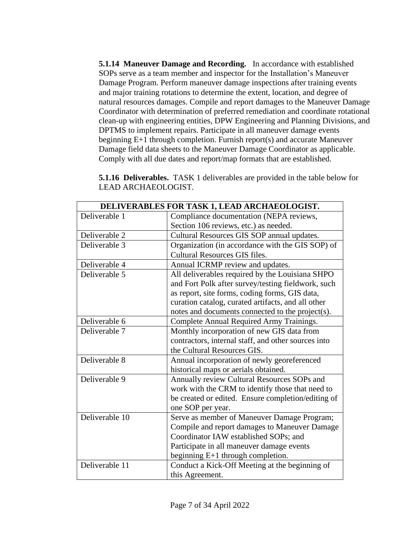**5.1.14 Maneuver Damage and Recording.** In accordance with established SOPs serve as a team member and inspector for the Installation's Maneuver Damage Program. Perform maneuver damage inspections after training events and major training rotations to determine the extent, location, and degree of natural resources damages. Compile and report damages to the Maneuver Damage Coordinator with determination of preferred remediation and coordinate rotational clean-up with engineering entities, DPW Engineering and Planning Divisions, and DPTMS to implement repairs. Participate in all maneuver damage events beginning E+1 through completion. Furnish report(s) and accurate Maneuver Damage field data sheets to the Maneuver Damage Coordinator as applicable. Comply with all due dates and report/map formats that are established.

**5.1.16 Deliverables.** TASK 1 deliverables are provided in the table below for LEAD ARCHAEOLOGIST.

| DELIVERABLES FOR TASK 1, LEAD ARCHAEOLOGIST. |                                                     |  |
|----------------------------------------------|-----------------------------------------------------|--|
| Deliverable 1                                | Compliance documentation (NEPA reviews,             |  |
|                                              | Section 106 reviews, etc.) as needed.               |  |
| Deliverable 2                                | Cultural Resources GIS SOP annual updates.          |  |
| Deliverable 3                                | Organization (in accordance with the GIS SOP) of    |  |
|                                              | <b>Cultural Resources GIS files.</b>                |  |
| Deliverable 4                                | Annual ICRMP review and updates.                    |  |
| Deliverable 5                                | All deliverables required by the Louisiana SHPO     |  |
|                                              | and Fort Polk after survey/testing fieldwork, such  |  |
|                                              | as report, site forms, coding forms, GIS data,      |  |
|                                              | curation catalog, curated artifacts, and all other  |  |
|                                              | notes and documents connected to the project(s).    |  |
| Deliverable 6                                | Complete Annual Required Army Trainings.            |  |
| Deliverable 7                                | Monthly incorporation of new GIS data from          |  |
|                                              | contractors, internal staff, and other sources into |  |
|                                              | the Cultural Resources GIS.                         |  |
| Deliverable 8                                | Annual incorporation of newly georeferenced         |  |
|                                              | historical maps or aerials obtained.                |  |
| Deliverable 9                                | Annually review Cultural Resources SOPs and         |  |
|                                              | work with the CRM to identify those that need to    |  |
|                                              | be created or edited. Ensure completion/editing of  |  |
|                                              | one SOP per year.                                   |  |
| Deliverable 10                               | Serve as member of Maneuver Damage Program;         |  |
|                                              | Compile and report damages to Maneuver Damage       |  |
|                                              | Coordinator IAW established SOPs; and               |  |
|                                              | Participate in all maneuver damage events           |  |
|                                              | beginning $E+1$ through completion.                 |  |
| Deliverable 11                               | Conduct a Kick-Off Meeting at the beginning of      |  |
|                                              | this Agreement.                                     |  |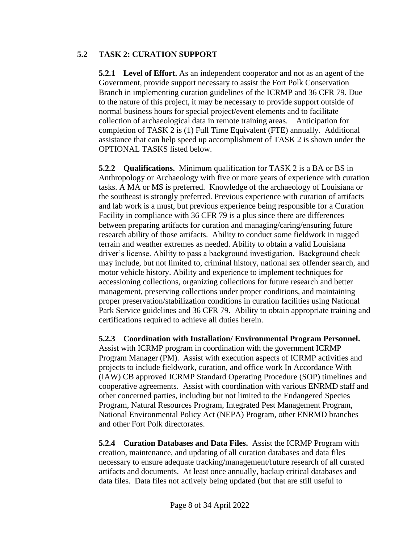# **5.2 TASK 2: CURATION SUPPORT**

**5.2.1 Level of Effort.** As an independent cooperator and not as an agent of the Government, provide support necessary to assist the Fort Polk Conservation Branch in implementing curation guidelines of the ICRMP and 36 CFR 79. Due to the nature of this project, it may be necessary to provide support outside of normal business hours for special project/event elements and to facilitate collection of archaeological data in remote training areas. Anticipation for completion of TASK 2 is (1) Full Time Equivalent (FTE) annually. Additional assistance that can help speed up accomplishment of TASK 2 is shown under the OPTIONAL TASKS listed below.

**5.2.2 Qualifications.** Minimum qualification for TASK 2 is a BA or BS in Anthropology or Archaeology with five or more years of experience with curation tasks. A MA or MS is preferred. Knowledge of the archaeology of Louisiana or the southeast is strongly preferred. Previous experience with curation of artifacts and lab work is a must, but previous experience being responsible for a Curation Facility in compliance with 36 CFR 79 is a plus since there are differences between preparing artifacts for curation and managing/caring/ensuring future research ability of those artifacts. Ability to conduct some fieldwork in rugged terrain and weather extremes as needed. Ability to obtain a valid Louisiana driver's license. Ability to pass a background investigation. Background check may include, but not limited to, criminal history, national sex offender search, and motor vehicle history. Ability and experience to implement techniques for accessioning collections, organizing collections for future research and better management, preserving collections under proper conditions, and maintaining proper preservation/stabilization conditions in curation facilities using National Park Service guidelines and 36 CFR 79. Ability to obtain appropriate training and certifications required to achieve all duties herein.

**5.2.3 Coordination with Installation/ Environmental Program Personnel.** Assist with ICRMP program in coordination with the government ICRMP Program Manager (PM). Assist with execution aspects of ICRMP activities and projects to include fieldwork, curation, and office work In Accordance With (IAW) CB approved ICRMP Standard Operating Procedure (SOP) timelines and cooperative agreements. Assist with coordination with various ENRMD staff and other concerned parties, including but not limited to the Endangered Species Program, Natural Resources Program, Integrated Pest Management Program, National Environmental Policy Act (NEPA) Program, other ENRMD branches and other Fort Polk directorates.

**5.2.4 Curation Databases and Data Files.** Assist the ICRMP Program with creation, maintenance, and updating of all curation databases and data files necessary to ensure adequate tracking/management/future research of all curated artifacts and documents. At least once annually, backup critical databases and data files. Data files not actively being updated (but that are still useful to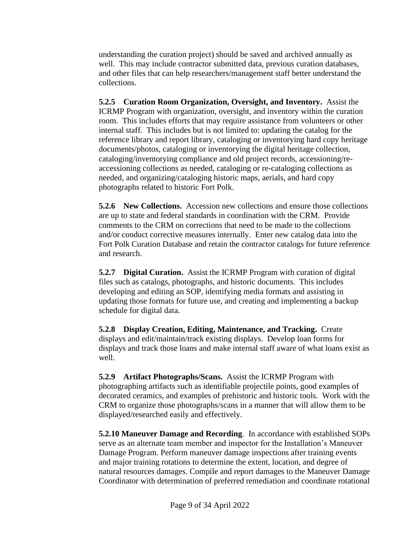understanding the curation project) should be saved and archived annually as well. This may include contractor submitted data, previous curation databases, and other files that can help researchers/management staff better understand the collections.

**5.2.5 Curation Room Organization, Oversight, and Inventory.** Assist the ICRMP Program with organization, oversight, and inventory within the curation room. This includes efforts that may require assistance from volunteers or other internal staff. This includes but is not limited to: updating the catalog for the reference library and report library, cataloging or inventorying hard copy heritage documents/photos, cataloging or inventorying the digital heritage collection, cataloging/inventorying compliance and old project records, accessioning/reaccessioning collections as needed, cataloging or re-cataloging collections as needed, and organizing/cataloging historic maps, aerials, and hard copy photographs related to historic Fort Polk.

**5.2.6 New Collections.** Accession new collections and ensure those collections are up to state and federal standards in coordination with the CRM. Provide comments to the CRM on corrections that need to be made to the collections and/or conduct corrective measures internally. Enter new catalog data into the Fort Polk Curation Database and retain the contractor catalogs for future reference and research.

**5.2.7 Digital Curation.** Assist the ICRMP Program with curation of digital files such as catalogs, photographs, and historic documents. This includes developing and editing an SOP, identifying media formats and assisting in updating those formats for future use, and creating and implementing a backup schedule for digital data.

**5.2.8 Display Creation, Editing, Maintenance, and Tracking.** Create displays and edit/maintain/track existing displays. Develop loan forms for displays and track those loans and make internal staff aware of what loans exist as well.

**5.2.9 Artifact Photographs/Scans.** Assist the ICRMP Program with photographing artifacts such as identifiable projectile points, good examples of decorated ceramics, and examples of prehistoric and historic tools. Work with the CRM to organize those photographs/scans in a manner that will allow them to be displayed/researched easily and effectively.

**5.2.10 Maneuver Damage and Recording**. In accordance with established SOPs serve as an alternate team member and inspector for the Installation's Maneuver Damage Program. Perform maneuver damage inspections after training events and major training rotations to determine the extent, location, and degree of natural resources damages. Compile and report damages to the Maneuver Damage Coordinator with determination of preferred remediation and coordinate rotational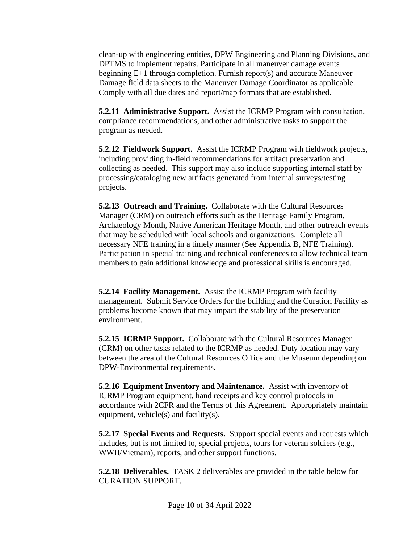clean-up with engineering entities, DPW Engineering and Planning Divisions, and DPTMS to implement repairs. Participate in all maneuver damage events beginning E+1 through completion. Furnish report(s) and accurate Maneuver Damage field data sheets to the Maneuver Damage Coordinator as applicable. Comply with all due dates and report/map formats that are established.

**5.2.11 Administrative Support.** Assist the ICRMP Program with consultation, compliance recommendations, and other administrative tasks to support the program as needed.

**5.2.12 Fieldwork Support.** Assist the ICRMP Program with fieldwork projects, including providing in-field recommendations for artifact preservation and collecting as needed. This support may also include supporting internal staff by processing/cataloging new artifacts generated from internal surveys/testing projects.

**5.2.13 Outreach and Training.** Collaborate with the Cultural Resources Manager (CRM) on outreach efforts such as the Heritage Family Program, Archaeology Month, Native American Heritage Month, and other outreach events that may be scheduled with local schools and organizations. Complete all necessary NFE training in a timely manner (See Appendix B, NFE Training). Participation in special training and technical conferences to allow technical team members to gain additional knowledge and professional skills is encouraged.

**5.2.14 Facility Management.** Assist the ICRMP Program with facility management. Submit Service Orders for the building and the Curation Facility as problems become known that may impact the stability of the preservation environment.

**5.2.15 ICRMP Support.** Collaborate with the Cultural Resources Manager (CRM) on other tasks related to the ICRMP as needed. Duty location may vary between the area of the Cultural Resources Office and the Museum depending on DPW-Environmental requirements.

**5.2.16 Equipment Inventory and Maintenance.** Assist with inventory of ICRMP Program equipment, hand receipts and key control protocols in accordance with 2CFR and the Terms of this Agreement. Appropriately maintain equipment, vehicle(s) and facility(s).

**5.2.17 Special Events and Requests.** Support special events and requests which includes, but is not limited to, special projects, tours for veteran soldiers (e.g., WWII/Vietnam), reports, and other support functions.

**5.2.18 Deliverables.** TASK 2 deliverables are provided in the table below for CURATION SUPPORT.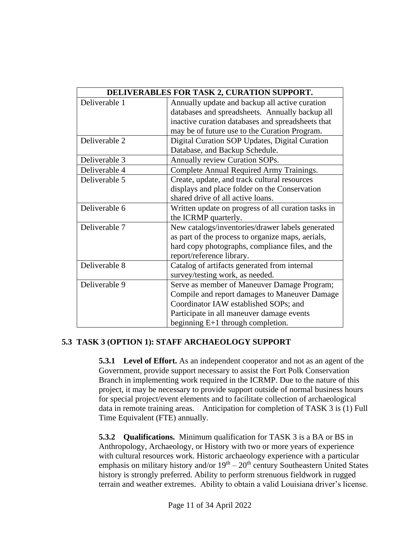|               | DELIVERABLES FOR TASK 2, CURATION SUPPORT.          |
|---------------|-----------------------------------------------------|
| Deliverable 1 | Annually update and backup all active curation      |
|               | databases and spreadsheets. Annually backup all     |
|               | inactive curation databases and spreadsheets that   |
|               | may be of future use to the Curation Program.       |
| Deliverable 2 | Digital Curation SOP Updates, Digital Curation      |
|               | Database, and Backup Schedule.                      |
| Deliverable 3 | Annually review Curation SOPs.                      |
| Deliverable 4 | Complete Annual Required Army Trainings.            |
| Deliverable 5 | Create, update, and track cultural resources        |
|               | displays and place folder on the Conservation       |
|               | shared drive of all active loans.                   |
| Deliverable 6 | Written update on progress of all curation tasks in |
|               | the ICRMP quarterly.                                |
| Deliverable 7 | New catalogs/inventories/drawer labels generated    |
|               | as part of the process to organize maps, aerials,   |
|               | hard copy photographs, compliance files, and the    |
|               | report/reference library.                           |
| Deliverable 8 | Catalog of artifacts generated from internal        |
|               | survey/testing work, as needed.                     |
| Deliverable 9 | Serve as member of Maneuver Damage Program;         |
|               | Compile and report damages to Maneuver Damage       |
|               | Coordinator IAW established SOPs; and               |
|               | Participate in all maneuver damage events           |
|               | beginning $E+1$ through completion.                 |

### **5.3 TASK 3 (OPTION 1): STAFF ARCHAEOLOGY SUPPORT**

**5.3.1 Level of Effort.** As an independent cooperator and not as an agent of the Government, provide support necessary to assist the Fort Polk Conservation Branch in implementing work required in the ICRMP. Due to the nature of this project, it may be necessary to provide support outside of normal business hours for special project/event elements and to facilitate collection of archaeological data in remote training areas. Anticipation for completion of TASK 3 is (1) Full Time Equivalent (FTE) annually.

**5.3.2 Qualifications.** Minimum qualification for TASK 3 is a BA or BS in Anthropology, Archaeology, or History with two or more years of experience with cultural resources work. Historic archaeology experience with a particular emphasis on military history and/or  $19<sup>th</sup> - 20<sup>th</sup>$  century Southeastern United States history is strongly preferred. Ability to perform strenuous fieldwork in rugged terrain and weather extremes. Ability to obtain a valid Louisiana driver's license.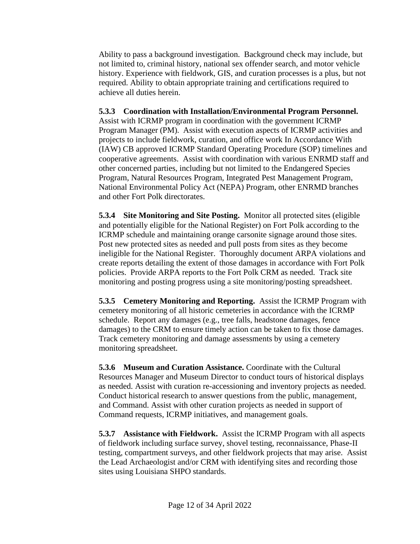Ability to pass a background investigation. Background check may include, but not limited to, criminal history, national sex offender search, and motor vehicle history. Experience with fieldwork, GIS, and curation processes is a plus, but not required. Ability to obtain appropriate training and certifications required to achieve all duties herein.

# **5.3.3 Coordination with Installation/Environmental Program Personnel.**

Assist with ICRMP program in coordination with the government ICRMP Program Manager (PM). Assist with execution aspects of ICRMP activities and projects to include fieldwork, curation, and office work In Accordance With (IAW) CB approved ICRMP Standard Operating Procedure (SOP) timelines and cooperative agreements. Assist with coordination with various ENRMD staff and other concerned parties, including but not limited to the Endangered Species Program, Natural Resources Program, Integrated Pest Management Program, National Environmental Policy Act (NEPA) Program, other ENRMD branches and other Fort Polk directorates.

**5.3.4 Site Monitoring and Site Posting.** Monitor all protected sites (eligible and potentially eligible for the National Register) on Fort Polk according to the ICRMP schedule and maintaining orange carsonite signage around those sites. Post new protected sites as needed and pull posts from sites as they become ineligible for the National Register. Thoroughly document ARPA violations and create reports detailing the extent of those damages in accordance with Fort Polk policies. Provide ARPA reports to the Fort Polk CRM as needed. Track site monitoring and posting progress using a site monitoring/posting spreadsheet.

**5.3.5 Cemetery Monitoring and Reporting.** Assist the ICRMP Program with cemetery monitoring of all historic cemeteries in accordance with the ICRMP schedule. Report any damages (e.g., tree falls, headstone damages, fence damages) to the CRM to ensure timely action can be taken to fix those damages. Track cemetery monitoring and damage assessments by using a cemetery monitoring spreadsheet.

**5.3.6 Museum and Curation Assistance.** Coordinate with the Cultural Resources Manager and Museum Director to conduct tours of historical displays as needed. Assist with curation re-accessioning and inventory projects as needed. Conduct historical research to answer questions from the public, management, and Command. Assist with other curation projects as needed in support of Command requests, ICRMP initiatives, and management goals.

**5.3.7 Assistance with Fieldwork.** Assist the ICRMP Program with all aspects of fieldwork including surface survey, shovel testing, reconnaissance, Phase-II testing, compartment surveys, and other fieldwork projects that may arise. Assist the Lead Archaeologist and/or CRM with identifying sites and recording those sites using Louisiana SHPO standards.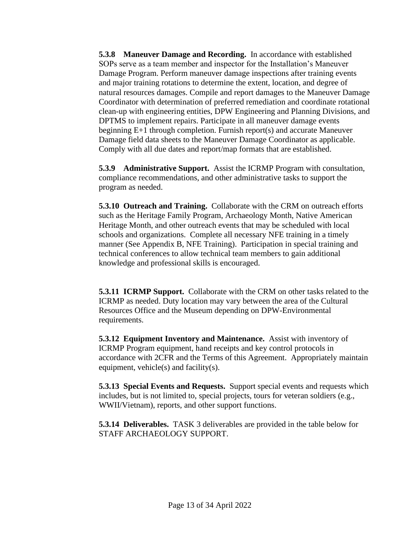**5.3.8 Maneuver Damage and Recording.** In accordance with established SOPs serve as a team member and inspector for the Installation's Maneuver Damage Program. Perform maneuver damage inspections after training events and major training rotations to determine the extent, location, and degree of natural resources damages. Compile and report damages to the Maneuver Damage Coordinator with determination of preferred remediation and coordinate rotational clean-up with engineering entities, DPW Engineering and Planning Divisions, and DPTMS to implement repairs. Participate in all maneuver damage events beginning E+1 through completion. Furnish report(s) and accurate Maneuver Damage field data sheets to the Maneuver Damage Coordinator as applicable. Comply with all due dates and report/map formats that are established.

**5.3.9 Administrative Support.** Assist the ICRMP Program with consultation, compliance recommendations, and other administrative tasks to support the program as needed.

**5.3.10 Outreach and Training.** Collaborate with the CRM on outreach efforts such as the Heritage Family Program, Archaeology Month, Native American Heritage Month, and other outreach events that may be scheduled with local schools and organizations. Complete all necessary NFE training in a timely manner (See Appendix B, NFE Training). Participation in special training and technical conferences to allow technical team members to gain additional knowledge and professional skills is encouraged.

**5.3.11 ICRMP Support.** Collaborate with the CRM on other tasks related to the ICRMP as needed. Duty location may vary between the area of the Cultural Resources Office and the Museum depending on DPW-Environmental requirements.

**5.3.12 Equipment Inventory and Maintenance.** Assist with inventory of ICRMP Program equipment, hand receipts and key control protocols in accordance with 2CFR and the Terms of this Agreement. Appropriately maintain equipment, vehicle(s) and facility(s).

**5.3.13 Special Events and Requests.** Support special events and requests which includes, but is not limited to, special projects, tours for veteran soldiers (e.g., WWII/Vietnam), reports, and other support functions.

**5.3.14 Deliverables.** TASK 3 deliverables are provided in the table below for STAFF ARCHAEOLOGY SUPPORT.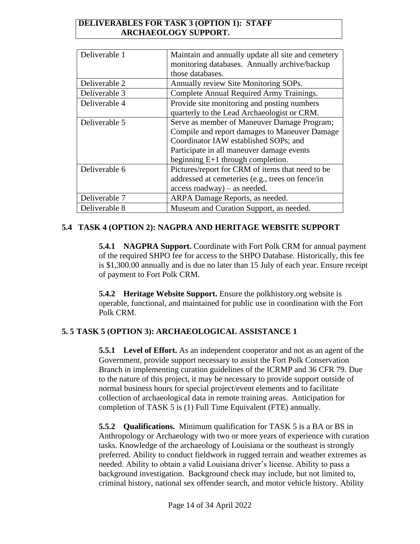### **DELIVERABLES FOR TASK 3 (OPTION 1): STAFF ARCHAEOLOGY SUPPORT.**

| Deliverable 1 | Maintain and annually update all site and cemetery |
|---------------|----------------------------------------------------|
|               | monitoring databases. Annually archive/backup      |
|               | those databases.                                   |
| Deliverable 2 | Annually review Site Monitoring SOPs.              |
| Deliverable 3 | Complete Annual Required Army Trainings.           |
| Deliverable 4 | Provide site monitoring and posting numbers        |
|               | quarterly to the Lead Archaeologist or CRM.        |
| Deliverable 5 | Serve as member of Maneuver Damage Program;        |
|               | Compile and report damages to Maneuver Damage      |
|               | Coordinator IAW established SOPs; and              |
|               | Participate in all maneuver damage events          |
|               | beginning $E+1$ through completion.                |
| Deliverable 6 | Pictures/report for CRM of items that need to be   |
|               | addressed at cemeteries (e.g., trees on fence/in   |
|               | $access$ roadway) – as needed.                     |
| Deliverable 7 | ARPA Damage Reports, as needed.                    |
| Deliverable 8 | Museum and Curation Support, as needed.            |

# **5.4 TASK 4 (OPTION 2): NAGPRA AND HERITAGE WEBSITE SUPPORT**

**5.4.1 NAGPRA Support.** Coordinate with Fort Polk CRM for annual payment of the required SHPO fee for access to the SHPO Database. Historically, this fee is \$1,300.00 annually and is due no later than 15 July of each year. Ensure receipt of payment to Fort Polk CRM.

**5.4.2 Heritage Website Support.** Ensure the polkhistory.org website is operable, functional, and maintained for public use in coordination with the Fort Polk CRM.

# **5. 5 TASK 5 (OPTION 3): ARCHAEOLOGICAL ASSISTANCE 1**

**5.5.1 Level of Effort.** As an independent cooperator and not as an agent of the Government, provide support necessary to assist the Fort Polk Conservation Branch in implementing curation guidelines of the ICRMP and 36 CFR 79. Due to the nature of this project, it may be necessary to provide support outside of normal business hours for special project/event elements and to facilitate collection of archaeological data in remote training areas. Anticipation for completion of TASK 5 is (1) Full Time Equivalent (FTE) annually.

**5.5.2 Qualifications.** Minimum qualification for TASK 5 is a BA or BS in Anthropology or Archaeology with two or more years of experience with curation tasks. Knowledge of the archaeology of Louisiana or the southeast is strongly preferred. Ability to conduct fieldwork in rugged terrain and weather extremes as needed. Ability to obtain a valid Louisiana driver's license. Ability to pass a background investigation. Background check may include, but not limited to, criminal history, national sex offender search, and motor vehicle history. Ability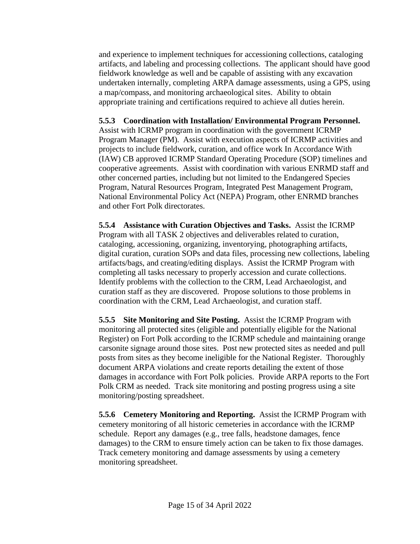and experience to implement techniques for accessioning collections, cataloging artifacts, and labeling and processing collections. The applicant should have good fieldwork knowledge as well and be capable of assisting with any excavation undertaken internally, completing ARPA damage assessments, using a GPS, using a map/compass, and monitoring archaeological sites. Ability to obtain appropriate training and certifications required to achieve all duties herein.

# **5.5.3 Coordination with Installation/ Environmental Program Personnel.**

Assist with ICRMP program in coordination with the government ICRMP Program Manager (PM). Assist with execution aspects of ICRMP activities and projects to include fieldwork, curation, and office work In Accordance With (IAW) CB approved ICRMP Standard Operating Procedure (SOP) timelines and cooperative agreements. Assist with coordination with various ENRMD staff and other concerned parties, including but not limited to the Endangered Species Program, Natural Resources Program, Integrated Pest Management Program, National Environmental Policy Act (NEPA) Program, other ENRMD branches and other Fort Polk directorates.

**5.5.4 Assistance with Curation Objectives and Tasks.** Assist the ICRMP Program with all TASK 2 objectives and deliverables related to curation, cataloging, accessioning, organizing, inventorying, photographing artifacts, digital curation, curation SOPs and data files, processing new collections, labeling artifacts/bags, and creating/editing displays. Assist the ICRMP Program with completing all tasks necessary to properly accession and curate collections. Identify problems with the collection to the CRM, Lead Archaeologist, and curation staff as they are discovered. Propose solutions to those problems in coordination with the CRM, Lead Archaeologist, and curation staff.

**5.5.5 Site Monitoring and Site Posting.** Assist the ICRMP Program with monitoring all protected sites (eligible and potentially eligible for the National Register) on Fort Polk according to the ICRMP schedule and maintaining orange carsonite signage around those sites. Post new protected sites as needed and pull posts from sites as they become ineligible for the National Register. Thoroughly document ARPA violations and create reports detailing the extent of those damages in accordance with Fort Polk policies. Provide ARPA reports to the Fort Polk CRM as needed. Track site monitoring and posting progress using a site monitoring/posting spreadsheet.

**5.5.6 Cemetery Monitoring and Reporting.** Assist the ICRMP Program with cemetery monitoring of all historic cemeteries in accordance with the ICRMP schedule. Report any damages (e.g., tree falls, headstone damages, fence damages) to the CRM to ensure timely action can be taken to fix those damages. Track cemetery monitoring and damage assessments by using a cemetery monitoring spreadsheet.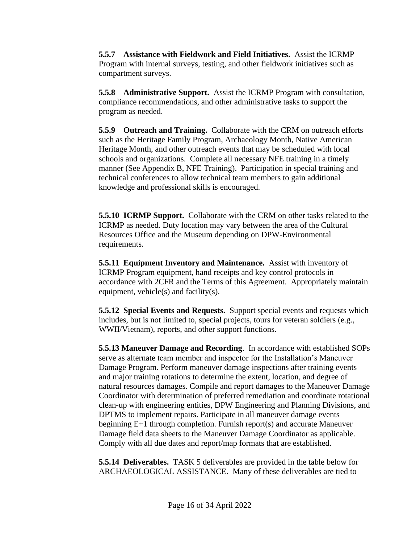**5.5.7 Assistance with Fieldwork and Field Initiatives.** Assist the ICRMP Program with internal surveys, testing, and other fieldwork initiatives such as compartment surveys.

**5.5.8 Administrative Support.** Assist the ICRMP Program with consultation, compliance recommendations, and other administrative tasks to support the program as needed.

**5.5.9 Outreach and Training.** Collaborate with the CRM on outreach efforts such as the Heritage Family Program, Archaeology Month, Native American Heritage Month, and other outreach events that may be scheduled with local schools and organizations. Complete all necessary NFE training in a timely manner (See Appendix B, NFE Training). Participation in special training and technical conferences to allow technical team members to gain additional knowledge and professional skills is encouraged.

**5.5.10 ICRMP Support.** Collaborate with the CRM on other tasks related to the ICRMP as needed. Duty location may vary between the area of the Cultural Resources Office and the Museum depending on DPW-Environmental requirements.

**5.5.11 Equipment Inventory and Maintenance.** Assist with inventory of ICRMP Program equipment, hand receipts and key control protocols in accordance with 2CFR and the Terms of this Agreement. Appropriately maintain equipment, vehicle(s) and facility(s).

**5.5.12 Special Events and Requests.** Support special events and requests which includes, but is not limited to, special projects, tours for veteran soldiers (e.g., WWII/Vietnam), reports, and other support functions.

**5.5.13 Maneuver Damage and Recording**. In accordance with established SOPs serve as alternate team member and inspector for the Installation's Maneuver Damage Program. Perform maneuver damage inspections after training events and major training rotations to determine the extent, location, and degree of natural resources damages. Compile and report damages to the Maneuver Damage Coordinator with determination of preferred remediation and coordinate rotational clean-up with engineering entities, DPW Engineering and Planning Divisions, and DPTMS to implement repairs. Participate in all maneuver damage events beginning E+1 through completion. Furnish report(s) and accurate Maneuver Damage field data sheets to the Maneuver Damage Coordinator as applicable. Comply with all due dates and report/map formats that are established.

**5.5.14 Deliverables.** TASK 5 deliverables are provided in the table below for ARCHAEOLOGICAL ASSISTANCE. Many of these deliverables are tied to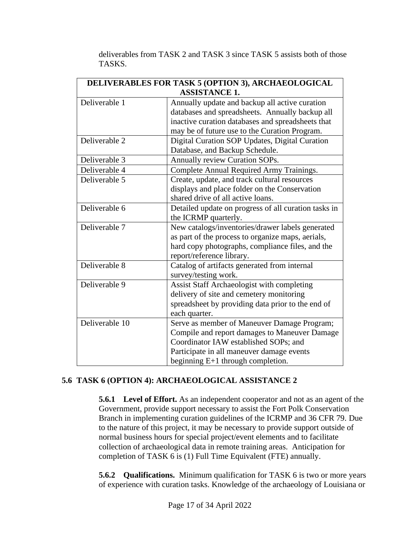| <b>DELIVERABLES FOR TASK 5 (OPTION 3), ARCHAEOLOGICAL</b> |                                                      |  |
|-----------------------------------------------------------|------------------------------------------------------|--|
| <b>ASSISTANCE 1.</b>                                      |                                                      |  |
| Deliverable 1                                             | Annually update and backup all active curation       |  |
|                                                           | databases and spreadsheets. Annually backup all      |  |
|                                                           | inactive curation databases and spreadsheets that    |  |
|                                                           | may be of future use to the Curation Program.        |  |
| Deliverable 2                                             | Digital Curation SOP Updates, Digital Curation       |  |
|                                                           | Database, and Backup Schedule.                       |  |
| Deliverable 3                                             | Annually review Curation SOPs.                       |  |
| Deliverable 4                                             | Complete Annual Required Army Trainings.             |  |
| Deliverable 5                                             | Create, update, and track cultural resources         |  |
|                                                           | displays and place folder on the Conservation        |  |
|                                                           | shared drive of all active loans.                    |  |
| Deliverable 6                                             | Detailed update on progress of all curation tasks in |  |
|                                                           | the ICRMP quarterly.                                 |  |
| Deliverable 7                                             | New catalogs/inventories/drawer labels generated     |  |
|                                                           | as part of the process to organize maps, aerials,    |  |
|                                                           | hard copy photographs, compliance files, and the     |  |
|                                                           | report/reference library.                            |  |
| Deliverable 8                                             | Catalog of artifacts generated from internal         |  |
|                                                           | survey/testing work.                                 |  |
| Deliverable 9                                             | Assist Staff Archaeologist with completing           |  |
|                                                           | delivery of site and cemetery monitoring             |  |
|                                                           | spreadsheet by providing data prior to the end of    |  |
|                                                           | each quarter.                                        |  |
| Deliverable 10                                            | Serve as member of Maneuver Damage Program;          |  |
|                                                           | Compile and report damages to Maneuver Damage        |  |
|                                                           | Coordinator IAW established SOPs; and                |  |
|                                                           | Participate in all maneuver damage events            |  |
|                                                           | beginning E+1 through completion.                    |  |

deliverables from TASK 2 and TASK 3 since TASK 5 assists both of those TASKS.

### **5.6 TASK 6 (OPTION 4): ARCHAEOLOGICAL ASSISTANCE 2**

**5.6.1 Level of Effort.** As an independent cooperator and not as an agent of the Government, provide support necessary to assist the Fort Polk Conservation Branch in implementing curation guidelines of the ICRMP and 36 CFR 79. Due to the nature of this project, it may be necessary to provide support outside of normal business hours for special project/event elements and to facilitate collection of archaeological data in remote training areas. Anticipation for completion of TASK 6 is (1) Full Time Equivalent (FTE) annually.

**5.6.2 Qualifications.** Minimum qualification for TASK 6 is two or more years of experience with curation tasks. Knowledge of the archaeology of Louisiana or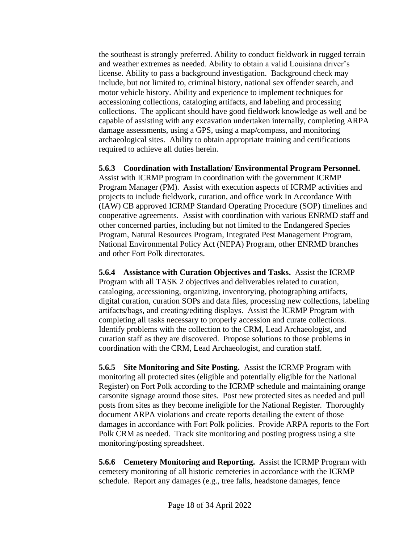the southeast is strongly preferred. Ability to conduct fieldwork in rugged terrain and weather extremes as needed. Ability to obtain a valid Louisiana driver's license. Ability to pass a background investigation. Background check may include, but not limited to, criminal history, national sex offender search, and motor vehicle history. Ability and experience to implement techniques for accessioning collections, cataloging artifacts, and labeling and processing collections. The applicant should have good fieldwork knowledge as well and be capable of assisting with any excavation undertaken internally, completing ARPA damage assessments, using a GPS, using a map/compass, and monitoring archaeological sites. Ability to obtain appropriate training and certifications required to achieve all duties herein.

**5.6.3 Coordination with Installation/ Environmental Program Personnel.** Assist with ICRMP program in coordination with the government ICRMP Program Manager (PM). Assist with execution aspects of ICRMP activities and projects to include fieldwork, curation, and office work In Accordance With (IAW) CB approved ICRMP Standard Operating Procedure (SOP) timelines and cooperative agreements. Assist with coordination with various ENRMD staff and other concerned parties, including but not limited to the Endangered Species Program, Natural Resources Program, Integrated Pest Management Program, National Environmental Policy Act (NEPA) Program, other ENRMD branches and other Fort Polk directorates.

**5.6.4 Assistance with Curation Objectives and Tasks.** Assist the ICRMP Program with all TASK 2 objectives and deliverables related to curation, cataloging, accessioning, organizing, inventorying, photographing artifacts, digital curation, curation SOPs and data files, processing new collections, labeling artifacts/bags, and creating/editing displays. Assist the ICRMP Program with completing all tasks necessary to properly accession and curate collections. Identify problems with the collection to the CRM, Lead Archaeologist, and curation staff as they are discovered. Propose solutions to those problems in coordination with the CRM, Lead Archaeologist, and curation staff.

**5.6.5 Site Monitoring and Site Posting.** Assist the ICRMP Program with monitoring all protected sites (eligible and potentially eligible for the National Register) on Fort Polk according to the ICRMP schedule and maintaining orange carsonite signage around those sites. Post new protected sites as needed and pull posts from sites as they become ineligible for the National Register. Thoroughly document ARPA violations and create reports detailing the extent of those damages in accordance with Fort Polk policies. Provide ARPA reports to the Fort Polk CRM as needed. Track site monitoring and posting progress using a site monitoring/posting spreadsheet.

**5.6.6 Cemetery Monitoring and Reporting.** Assist the ICRMP Program with cemetery monitoring of all historic cemeteries in accordance with the ICRMP schedule. Report any damages (e.g., tree falls, headstone damages, fence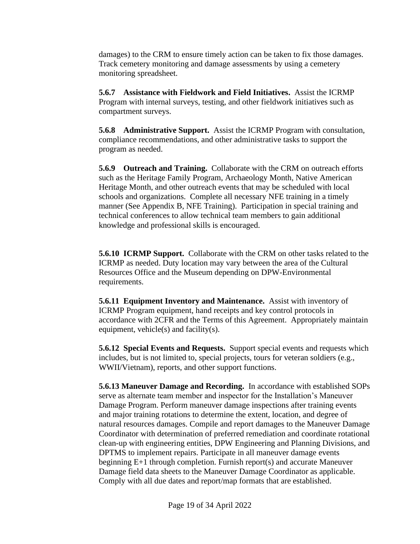damages) to the CRM to ensure timely action can be taken to fix those damages. Track cemetery monitoring and damage assessments by using a cemetery monitoring spreadsheet.

**5.6.7 Assistance with Fieldwork and Field Initiatives.** Assist the ICRMP Program with internal surveys, testing, and other fieldwork initiatives such as compartment surveys.

**5.6.8 Administrative Support.** Assist the ICRMP Program with consultation, compliance recommendations, and other administrative tasks to support the program as needed.

**5.6.9 Outreach and Training.** Collaborate with the CRM on outreach efforts such as the Heritage Family Program, Archaeology Month, Native American Heritage Month, and other outreach events that may be scheduled with local schools and organizations. Complete all necessary NFE training in a timely manner (See Appendix B, NFE Training). Participation in special training and technical conferences to allow technical team members to gain additional knowledge and professional skills is encouraged.

**5.6.10 ICRMP Support.** Collaborate with the CRM on other tasks related to the ICRMP as needed. Duty location may vary between the area of the Cultural Resources Office and the Museum depending on DPW-Environmental requirements.

**5.6.11 Equipment Inventory and Maintenance.** Assist with inventory of ICRMP Program equipment, hand receipts and key control protocols in accordance with 2CFR and the Terms of this Agreement. Appropriately maintain equipment, vehicle(s) and facility(s).

**5.6.12 Special Events and Requests.** Support special events and requests which includes, but is not limited to, special projects, tours for veteran soldiers (e.g., WWII/Vietnam), reports, and other support functions.

**5.6.13 Maneuver Damage and Recording.** In accordance with established SOPs serve as alternate team member and inspector for the Installation's Maneuver Damage Program. Perform maneuver damage inspections after training events and major training rotations to determine the extent, location, and degree of natural resources damages. Compile and report damages to the Maneuver Damage Coordinator with determination of preferred remediation and coordinate rotational clean-up with engineering entities, DPW Engineering and Planning Divisions, and DPTMS to implement repairs. Participate in all maneuver damage events beginning E+1 through completion. Furnish report(s) and accurate Maneuver Damage field data sheets to the Maneuver Damage Coordinator as applicable. Comply with all due dates and report/map formats that are established.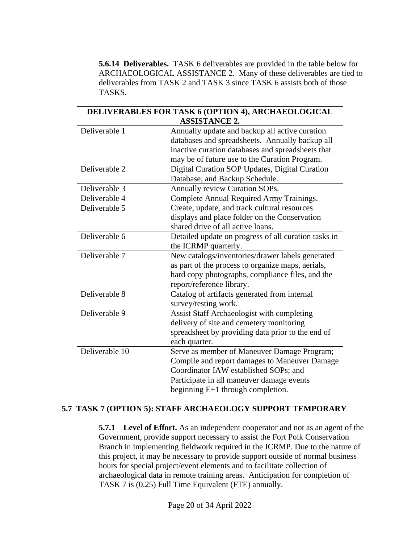**5.6.14 Deliverables.** TASK 6 deliverables are provided in the table below for ARCHAEOLOGICAL ASSISTANCE 2. Many of these deliverables are tied to deliverables from TASK 2 and TASK 3 since TASK 6 assists both of those TASKS.

| <b>DELIVERABLES FOR TASK 6 (OPTION 4), ARCHAEOLOGICAL</b> |                                                      |  |
|-----------------------------------------------------------|------------------------------------------------------|--|
|                                                           | <b>ASSISTANCE 2.</b>                                 |  |
| Deliverable 1                                             | Annually update and backup all active curation       |  |
|                                                           | databases and spreadsheets. Annually backup all      |  |
|                                                           | inactive curation databases and spreadsheets that    |  |
|                                                           | may be of future use to the Curation Program.        |  |
| Deliverable 2                                             | Digital Curation SOP Updates, Digital Curation       |  |
|                                                           | Database, and Backup Schedule.                       |  |
| Deliverable 3                                             | Annually review Curation SOPs.                       |  |
| Deliverable 4                                             | Complete Annual Required Army Trainings.             |  |
| Deliverable 5                                             | Create, update, and track cultural resources         |  |
|                                                           | displays and place folder on the Conservation        |  |
|                                                           | shared drive of all active loans.                    |  |
| Deliverable 6                                             | Detailed update on progress of all curation tasks in |  |
|                                                           | the ICRMP quarterly.                                 |  |
| Deliverable 7                                             | New catalogs/inventories/drawer labels generated     |  |
|                                                           | as part of the process to organize maps, aerials,    |  |
|                                                           | hard copy photographs, compliance files, and the     |  |
|                                                           | report/reference library.                            |  |
| Deliverable 8                                             | Catalog of artifacts generated from internal         |  |
|                                                           | survey/testing work.                                 |  |
| Deliverable 9                                             | Assist Staff Archaeologist with completing           |  |
|                                                           | delivery of site and cemetery monitoring             |  |
|                                                           | spreadsheet by providing data prior to the end of    |  |
|                                                           | each quarter.                                        |  |
| Deliverable 10                                            | Serve as member of Maneuver Damage Program;          |  |
|                                                           | Compile and report damages to Maneuver Damage        |  |
|                                                           | Coordinator IAW established SOPs; and                |  |
|                                                           | Participate in all maneuver damage events            |  |
|                                                           | beginning $E+1$ through completion.                  |  |

### **5.7 TASK 7 (OPTION 5): STAFF ARCHAEOLOGY SUPPORT TEMPORARY**

**5.7.1 Level of Effort.** As an independent cooperator and not as an agent of the Government, provide support necessary to assist the Fort Polk Conservation Branch in implementing fieldwork required in the ICRMP. Due to the nature of this project, it may be necessary to provide support outside of normal business hours for special project/event elements and to facilitate collection of archaeological data in remote training areas. Anticipation for completion of TASK 7 is (0.25) Full Time Equivalent (FTE) annually.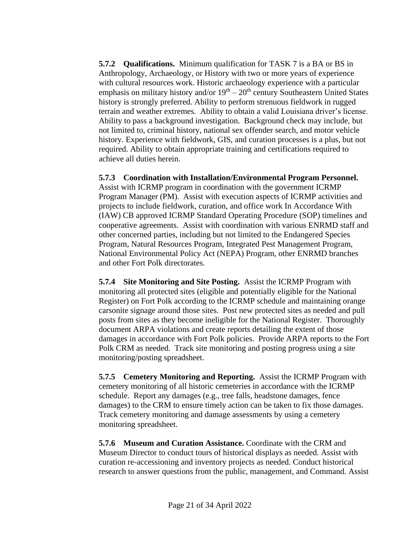**5.7.2 Qualifications.** Minimum qualification for TASK 7 is a BA or BS in Anthropology, Archaeology, or History with two or more years of experience with cultural resources work. Historic archaeology experience with a particular emphasis on military history and/or  $19<sup>th</sup> - 20<sup>th</sup>$  century Southeastern United States history is strongly preferred. Ability to perform strenuous fieldwork in rugged terrain and weather extremes. Ability to obtain a valid Louisiana driver's license. Ability to pass a background investigation. Background check may include, but not limited to, criminal history, national sex offender search, and motor vehicle history. Experience with fieldwork, GIS, and curation processes is a plus, but not required. Ability to obtain appropriate training and certifications required to achieve all duties herein.

# **5.7.3 Coordination with Installation/Environmental Program Personnel.**

Assist with ICRMP program in coordination with the government ICRMP Program Manager (PM). Assist with execution aspects of ICRMP activities and projects to include fieldwork, curation, and office work In Accordance With (IAW) CB approved ICRMP Standard Operating Procedure (SOP) timelines and cooperative agreements. Assist with coordination with various ENRMD staff and other concerned parties, including but not limited to the Endangered Species Program, Natural Resources Program, Integrated Pest Management Program, National Environmental Policy Act (NEPA) Program, other ENRMD branches and other Fort Polk directorates.

**5.7.4 Site Monitoring and Site Posting.** Assist the ICRMP Program with monitoring all protected sites (eligible and potentially eligible for the National Register) on Fort Polk according to the ICRMP schedule and maintaining orange carsonite signage around those sites. Post new protected sites as needed and pull posts from sites as they become ineligible for the National Register. Thoroughly document ARPA violations and create reports detailing the extent of those damages in accordance with Fort Polk policies. Provide ARPA reports to the Fort Polk CRM as needed. Track site monitoring and posting progress using a site monitoring/posting spreadsheet.

**5.7.5 Cemetery Monitoring and Reporting.** Assist the ICRMP Program with cemetery monitoring of all historic cemeteries in accordance with the ICRMP schedule. Report any damages (e.g., tree falls, headstone damages, fence damages) to the CRM to ensure timely action can be taken to fix those damages. Track cemetery monitoring and damage assessments by using a cemetery monitoring spreadsheet.

**5.7.6 Museum and Curation Assistance.** Coordinate with the CRM and Museum Director to conduct tours of historical displays as needed. Assist with curation re-accessioning and inventory projects as needed. Conduct historical research to answer questions from the public, management, and Command. Assist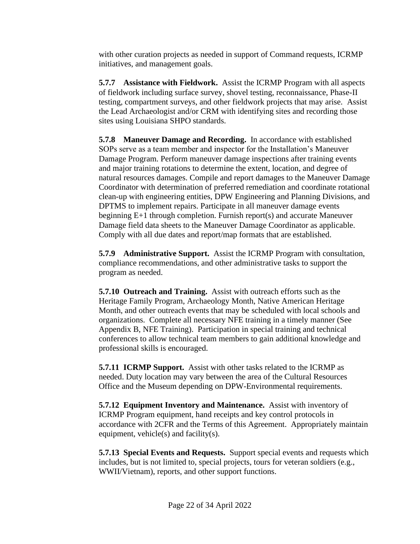with other curation projects as needed in support of Command requests, ICRMP initiatives, and management goals.

**5.7.7 Assistance with Fieldwork.** Assist the ICRMP Program with all aspects of fieldwork including surface survey, shovel testing, reconnaissance, Phase-II testing, compartment surveys, and other fieldwork projects that may arise. Assist the Lead Archaeologist and/or CRM with identifying sites and recording those sites using Louisiana SHPO standards.

**5.7.8 Maneuver Damage and Recording.** In accordance with established SOPs serve as a team member and inspector for the Installation's Maneuver Damage Program. Perform maneuver damage inspections after training events and major training rotations to determine the extent, location, and degree of natural resources damages. Compile and report damages to the Maneuver Damage Coordinator with determination of preferred remediation and coordinate rotational clean-up with engineering entities, DPW Engineering and Planning Divisions, and DPTMS to implement repairs. Participate in all maneuver damage events beginning E+1 through completion. Furnish report(s) and accurate Maneuver Damage field data sheets to the Maneuver Damage Coordinator as applicable. Comply with all due dates and report/map formats that are established.

**5.7.9 Administrative Support.** Assist the ICRMP Program with consultation, compliance recommendations, and other administrative tasks to support the program as needed.

**5.7.10 Outreach and Training.** Assist with outreach efforts such as the Heritage Family Program, Archaeology Month, Native American Heritage Month, and other outreach events that may be scheduled with local schools and organizations. Complete all necessary NFE training in a timely manner (See Appendix B, NFE Training). Participation in special training and technical conferences to allow technical team members to gain additional knowledge and professional skills is encouraged.

**5.7.11 ICRMP Support.** Assist with other tasks related to the ICRMP as needed. Duty location may vary between the area of the Cultural Resources Office and the Museum depending on DPW-Environmental requirements.

**5.7.12 Equipment Inventory and Maintenance.** Assist with inventory of ICRMP Program equipment, hand receipts and key control protocols in accordance with 2CFR and the Terms of this Agreement. Appropriately maintain equipment, vehicle(s) and facility(s).

**5.7.13 Special Events and Requests.** Support special events and requests which includes, but is not limited to, special projects, tours for veteran soldiers (e.g., WWII/Vietnam), reports, and other support functions.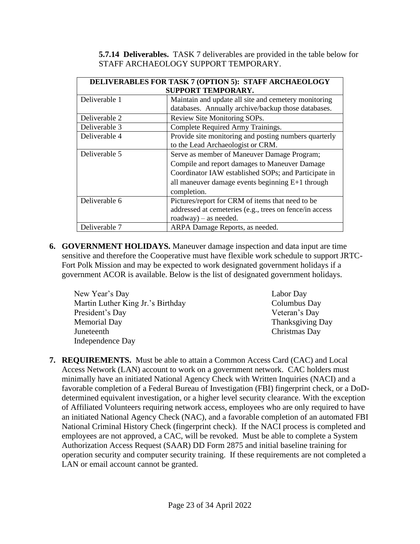**5.7.14 Deliverables.** TASK 7 deliverables are provided in the table below for STAFF ARCHAEOLOGY SUPPORT TEMPORARY.

| <b>DELIVERABLES FOR TASK 7 (OPTION 5): STAFF ARCHAEOLOGY</b> |                                                         |  |
|--------------------------------------------------------------|---------------------------------------------------------|--|
| SUPPORT TEMPORARY.                                           |                                                         |  |
| Deliverable 1                                                | Maintain and update all site and cemetery monitoring    |  |
|                                                              | databases. Annually archive/backup those databases.     |  |
| Deliverable 2                                                | Review Site Monitoring SOPs.                            |  |
| Deliverable 3                                                | Complete Required Army Trainings.                       |  |
| Deliverable 4                                                | Provide site monitoring and posting numbers quarterly   |  |
|                                                              | to the Lead Archaeologist or CRM.                       |  |
| Deliverable 5                                                | Serve as member of Maneuver Damage Program;             |  |
|                                                              | Compile and report damages to Maneuver Damage           |  |
|                                                              | Coordinator IAW established SOPs; and Participate in    |  |
|                                                              | all maneuver damage events beginning E+1 through        |  |
|                                                              | completion.                                             |  |
| Deliverable 6                                                | Pictures/report for CRM of items that need to be        |  |
|                                                              | addressed at cemeteries (e.g., trees on fence/in access |  |
|                                                              | roadway) – as needed.                                   |  |
| Deliverable 7                                                | ARPA Damage Reports, as needed.                         |  |

**6. GOVERNMENT HOLIDAYS.** Maneuver damage inspection and data input are time sensitive and therefore the Cooperative must have flexible work schedule to support JRTC-Fort Polk Mission and may be expected to work designated government holidays if a government ACOR is available. Below is the list of designated government holidays.

| New Year's Day                    | Labor Day               |
|-----------------------------------|-------------------------|
| Martin Luther King Jr.'s Birthday | Columbus Day            |
| President's Day                   | Veteran's Day           |
| <b>Memorial Day</b>               | <b>Thanksgiving Day</b> |
| Juneteenth                        | Christmas Day           |
| Independence Day                  |                         |

**7. REQUIREMENTS.** Must be able to attain a Common Access Card (CAC) and Local Access Network (LAN) account to work on a government network. CAC holders must minimally have an initiated National Agency Check with Written Inquiries (NACI) and a favorable completion of a Federal Bureau of Investigation (FBI) fingerprint check, or a DoDdetermined equivalent investigation, or a higher level security clearance. With the exception of Affiliated Volunteers requiring network access, employees who are only required to have an initiated National Agency Check (NAC), and a favorable completion of an automated FBI National Criminal History Check (fingerprint check). If the NACI process is completed and employees are not approved, a CAC, will be revoked. Must be able to complete a System Authorization Access Request (SAAR) DD Form 2875 and initial baseline training for operation security and computer security training. If these requirements are not completed a LAN or email account cannot be granted.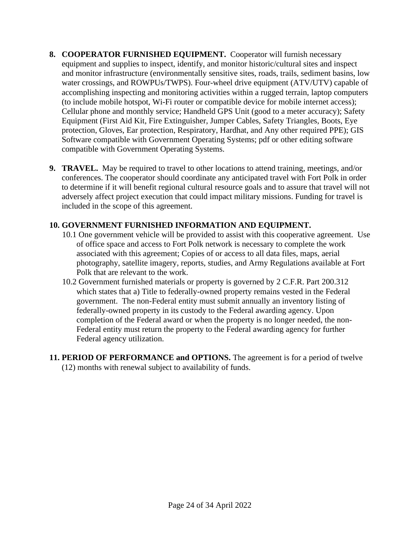- **8. COOPERATOR FURNISHED EQUIPMENT.** Cooperator will furnish necessary equipment and supplies to inspect, identify, and monitor historic/cultural sites and inspect and monitor infrastructure (environmentally sensitive sites, roads, trails, sediment basins, low water crossings, and ROWPUs/TWPS). Four-wheel drive equipment (ATV/UTV) capable of accomplishing inspecting and monitoring activities within a rugged terrain, laptop computers (to include mobile hotspot, Wi-Fi router or compatible device for mobile internet access); Cellular phone and monthly service; Handheld GPS Unit (good to a meter accuracy); Safety Equipment (First Aid Kit, Fire Extinguisher, Jumper Cables, Safety Triangles, Boots, Eye protection, Gloves, Ear protection, Respiratory, Hardhat, and Any other required PPE); GIS Software compatible with Government Operating Systems; pdf or other editing software compatible with Government Operating Systems.
- **9. TRAVEL.** May be required to travel to other locations to attend training, meetings, and/or conferences. The cooperator should coordinate any anticipated travel with Fort Polk in order to determine if it will benefit regional cultural resource goals and to assure that travel will not adversely affect project execution that could impact military missions. Funding for travel is included in the scope of this agreement.

# **10. GOVERNMENT FURNISHED INFORMATION AND EQUIPMENT.**

- 10.1 One government vehicle will be provided to assist with this cooperative agreement. Use of office space and access to Fort Polk network is necessary to complete the work associated with this agreement; Copies of or access to all data files, maps, aerial photography, satellite imagery, reports, studies, and Army Regulations available at Fort Polk that are relevant to the work.
- 10.2 Government furnished materials or property is governed by 2 C.F.R. Part 200.312 which states that a) Title to federally-owned property remains vested in the Federal government. The non-Federal entity must submit annually an inventory listing of federally-owned property in its custody to the Federal awarding agency. Upon completion of the Federal award or when the property is no longer needed, the non-Federal entity must return the property to the Federal awarding agency for further Federal agency utilization.
- **11. PERIOD OF PERFORMANCE and OPTIONS.** The agreement is for a period of twelve (12) months with renewal subject to availability of funds.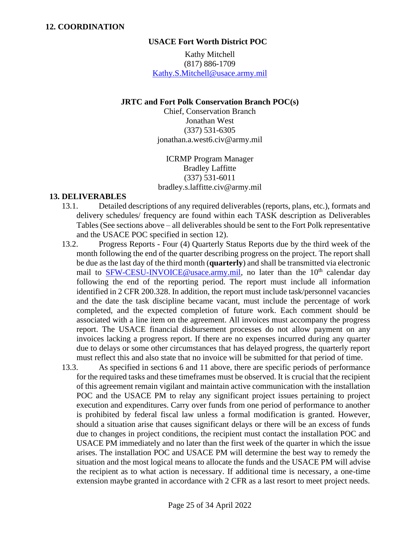#### **USACE Fort Worth District POC**

Kathy Mitchell (817) 886-1709 [Kathy.S.Mitchell@usace.army.mil](mailto:Kathy.S.Mitchell@usace.army.mil)

#### **JRTC and Fort Polk Conservation Branch POC(s)**

Chief, Conservation Branch Jonathan West (337) 531-6305 jonathan.a.west6.civ@army.mil

ICRMP Program Manager Bradley Laffitte (337) 531-6011 bradley.s.laffitte.civ@army.mil

#### **13. DELIVERABLES**

- 13.1. Detailed descriptions of any required deliverables (reports, plans, etc.), formats and delivery schedules/ frequency are found within each TASK description as Deliverables Tables (See sections above – all deliverables should be sent to the Fort Polk representative and the USACE POC specified in section 12).
- 13.2. Progress Reports Four (4) Quarterly Status Reports due by the third week of the month following the end of the quarter describing progress on the project. The report shall be due as the last day of the third month (**quarterly**) and shall be transmitted via electronic mail to [SFW-CESU-INVOICE@usace.army.mil,](mailto:SFW-CESU-INVOICE@usace.army.mil) no later than the 10<sup>th</sup> calendar day following the end of the reporting period. The report must include all information identified in 2 CFR 200.328. In addition, the report must include task/personnel vacancies and the date the task discipline became vacant, must include the percentage of work completed, and the expected completion of future work. Each comment should be associated with a line item on the agreement. All invoices must accompany the progress report. The USACE financial disbursement processes do not allow payment on any invoices lacking a progress report. If there are no expenses incurred during any quarter due to delays or some other circumstances that has delayed progress, the quarterly report must reflect this and also state that no invoice will be submitted for that period of time.
- 13.3. As specified in sections 6 and 11 above, there are specific periods of performance for the required tasks and these timeframes must be observed. It is crucial that the recipient of this agreement remain vigilant and maintain active communication with the installation POC and the USACE PM to relay any significant project issues pertaining to project execution and expenditures. Carry over funds from one period of performance to another is prohibited by federal fiscal law unless a formal modification is granted. However, should a situation arise that causes significant delays or there will be an excess of funds due to changes in project conditions, the recipient must contact the installation POC and USACE PM immediately and no later than the first week of the quarter in which the issue arises. The installation POC and USACE PM will determine the best way to remedy the situation and the most logical means to allocate the funds and the USACE PM will advise the recipient as to what action is necessary. If additional time is necessary, a one-time extension maybe granted in accordance with 2 CFR as a last resort to meet project needs.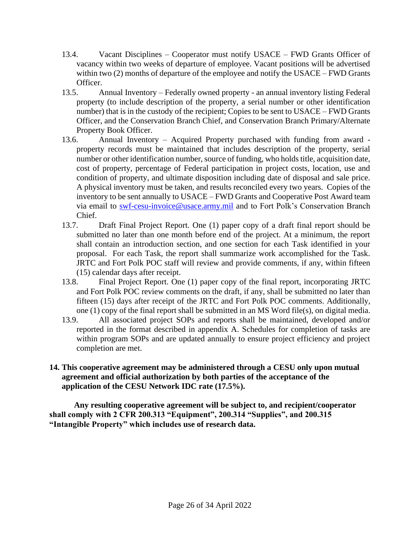- 13.4. Vacant Disciplines Cooperator must notify USACE FWD Grants Officer of vacancy within two weeks of departure of employee. Vacant positions will be advertised within two (2) months of departure of the employee and notify the USACE – FWD Grants Officer.
- 13.5. Annual Inventory Federally owned property an annual inventory listing Federal property (to include description of the property, a serial number or other identification number) that is in the custody of the recipient; Copies to be sent to USACE – FWD Grants Officer, and the Conservation Branch Chief, and Conservation Branch Primary/Alternate Property Book Officer.
- 13.6. Annual Inventory Acquired Property purchased with funding from award property records must be maintained that includes description of the property, serial number or other identification number, source of funding, who holds title, acquisition date, cost of property, percentage of Federal participation in project costs, location, use and condition of property, and ultimate disposition including date of disposal and sale price. A physical inventory must be taken, and results reconciled every two years. Copies of the inventory to be sent annually to USACE – FWD Grants and Cooperative Post Award team via email to [swf-cesu-invoice@usace.army.mil](mailto:swf-cesu-invoice@usace.army.mil) and to Fort Polk's Conservation Branch Chief.
- 13.7. Draft Final Project Report. One (1) paper copy of a draft final report should be submitted no later than one month before end of the project. At a minimum, the report shall contain an introduction section, and one section for each Task identified in your proposal. For each Task, the report shall summarize work accomplished for the Task. JRTC and Fort Polk POC staff will review and provide comments, if any, within fifteen (15) calendar days after receipt.
- 13.8. Final Project Report. One (1) paper copy of the final report, incorporating JRTC and Fort Polk POC review comments on the draft, if any, shall be submitted no later than fifteen (15) days after receipt of the JRTC and Fort Polk POC comments. Additionally, one (1) copy of the final report shall be submitted in an MS Word file(s), on digital media.
- 13.9. All associated project SOPs and reports shall be maintained, developed and/or reported in the format described in appendix A. Schedules for completion of tasks are within program SOPs and are updated annually to ensure project efficiency and project completion are met.
- **14. This cooperative agreement may be administered through a CESU only upon mutual agreement and official authorization by both parties of the acceptance of the application of the CESU Network IDC rate (17.5%).**

**Any resulting cooperative agreement will be subject to, and recipient/cooperator shall comply with 2 CFR 200.313 "Equipment", 200.314 "Supplies", and 200.315 "Intangible Property" which includes use of research data.**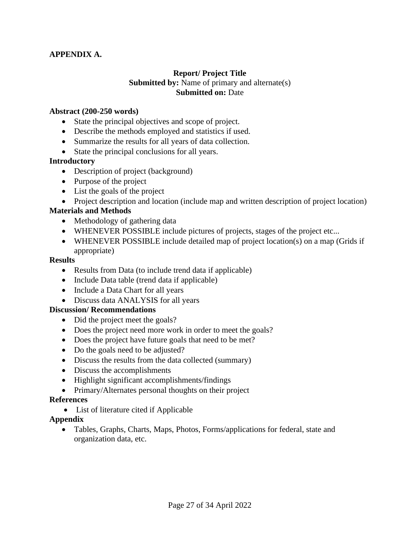## **APPENDIX A.**

# **Report/ Project Title Submitted by:** Name of primary and alternate(s) **Submitted on:** Date

### **Abstract (200-250 words)**

- State the principal objectives and scope of project.
- Describe the methods employed and statistics if used.
- Summarize the results for all years of data collection.
- State the principal conclusions for all years.

### **Introductory**

- Description of project (background)
- Purpose of the project
- List the goals of the project
- Project description and location (include map and written description of project location)

# **Materials and Methods**

- Methodology of gathering data
- WHENEVER POSSIBLE include pictures of projects, stages of the project etc...
- WHENEVER POSSIBLE include detailed map of project location(s) on a map (Grids if appropriate)

#### **Results**

- Results from Data (to include trend data if applicable)
- Include Data table (trend data if applicable)
- Include a Data Chart for all years
- Discuss data ANALYSIS for all years

### **Discussion/ Recommendations**

- Did the project meet the goals?
- Does the project need more work in order to meet the goals?
- Does the project have future goals that need to be met?
- Do the goals need to be adjusted?
- Discuss the results from the data collected (summary)
- Discuss the accomplishments
- Highlight significant accomplishments/findings
- Primary/Alternates personal thoughts on their project

### **References**

• List of literature cited if Applicable

### **Appendix**

• Tables, Graphs, Charts, Maps, Photos, Forms/applications for federal, state and organization data, etc.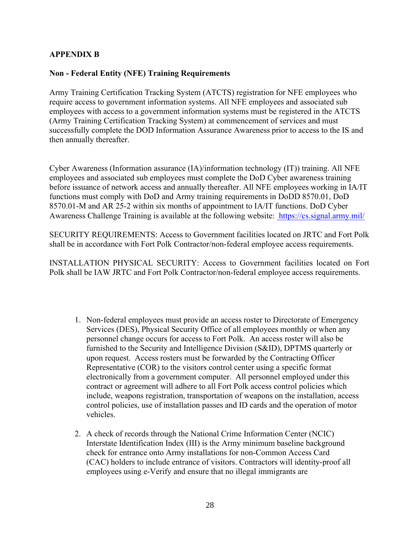## **APPENDIX B**

### **Non - Federal Entity (NFE) Training Requirements**

Army Training Certification Tracking System (ATCTS) registration for NFE employees who require access to government information systems. All NFE employees and associated sub employees with access to a government information systems must be registered in the ATCTS (Army Training Certification Tracking System) at commencement of services and must successfully complete the DOD Information Assurance Awareness prior to access to the IS and then annually thereafter.

Cyber Awareness (Information assurance (IA)/information technology (IT)) training. All NFE employees and associated sub employees must complete the DoD Cyber awareness training before issuance of network access and annually thereafter. All NFE employees working in IA/IT functions must comply with DoD and Army training requirements in DoDD 8570.01, DoD 8570.01-M and AR 25-2 within six months of appointment to IA/IT functions. DoD Cyber Awareness Challenge Training is available at the following website: https://cs.signal.army.mil/

SECURITY REQUIREMENTS: Access to Government facilities located on JRTC and Fort Polk shall be in accordance with Fort Polk Contractor/non-federal employee access requirements.

INSTALLATION PHYSICAL SECURITY: Access to Government facilities located on Fort Polk shall be IAW JRTC and Fort Polk Contractor/non-federal employee access requirements.

- 1. Non-federal employees must provide an access roster to Directorate of Emergency Services (DES), Physical Security Office of all employees monthly or when any personnel change occurs for access to Fort Polk. An access roster will also be furnished to the Security and Intelligence Division (S&ID), DPTMS quarterly or upon request. Access rosters must be forwarded by the Contracting Officer Representative (COR) to the visitors control center using a specific format electronically from a government computer. All personnel employed under this contract or agreement will adhere to all Fort Polk access control policies which include, weapons registration, transportation of weapons on the installation, access control policies, use of installation passes and ID cards and the operation of motor vehicles.
- 2. A check of records through the National Crime Information Center (NCIC) Interstate Identification Index (III) is the Army minimum baseline background check for entrance onto Army installations for non-Common Access Card (CAC) holders to include entrance of visitors. Contractors will identity-proof all employees using e-Verify and ensure that no illegal immigrants are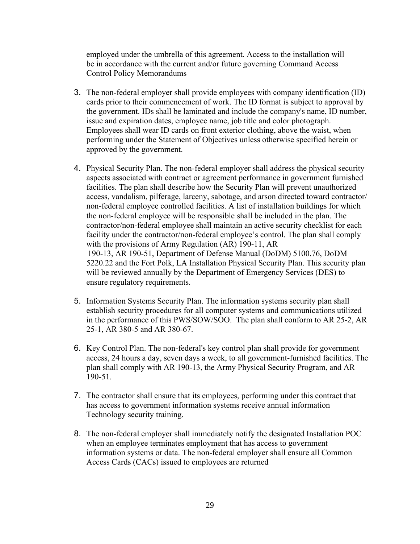employed under the umbrella of this agreement. Access to the installation will be in accordance with the current and/or future governing Command Access Control Policy Memorandums

- 3. The non-federal employer shall provide employees with company identification (ID) cards prior to their commencement of work. The ID format is subject to approval by the government. IDs shall be laminated and include the company's name, ID number, issue and expiration dates, employee name, job title and color photograph. Employees shall wear ID cards on front exterior clothing, above the waist, when performing under the Statement of Objectives unless otherwise specified herein or approved by the government.
- 4. Physical Security Plan. The non-federal employer shall address the physical security aspects associated with contract or agreement performance in government furnished facilities. The plan shall describe how the Security Plan will prevent unauthorized access, vandalism, pilferage, larceny, sabotage, and arson directed toward contractor/ non-federal employee controlled facilities. A list of installation buildings for which the non-federal employee will be responsible shall be included in the plan. The contractor/non-federal employee shall maintain an active security checklist for each facility under the contractor/non-federal employee's control. The plan shall comply with the provisions of Army Regulation (AR) 190-11, AR 190-13, AR 190-51, Department of Defense Manual (DoDM) 5100.76, DoDM 5220.22 and the Fort Polk, LA Installation Physical Security Plan. This security plan will be reviewed annually by the Department of Emergency Services (DES) to ensure regulatory requirements.
- 5. Information Systems Security Plan. The information systems security plan shall establish security procedures for all computer systems and communications utilized in the performance of this PWS/SOW/SOO. The plan shall conform to AR 25-2, AR 25-1, AR 380-5 and AR 380-67.
- 6. Key Control Plan. The non-federal's key control plan shall provide for government access, 24 hours a day, seven days a week, to all government-furnished facilities. The plan shall comply with AR 190-13, the Army Physical Security Program, and AR 190-51.
- 7. The contractor shall ensure that its employees, performing under this contract that has access to government information systems receive annual information Technology security training.
- 8. The non-federal employer shall immediately notify the designated Installation POC when an employee terminates employment that has access to government information systems or data. The non-federal employer shall ensure all Common Access Cards (CACs) issued to employees are returned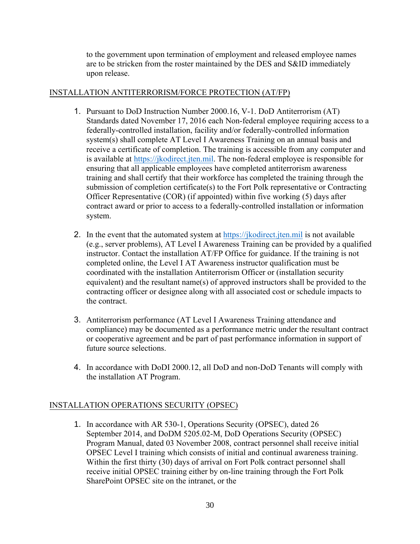to the government upon termination of employment and released employee names are to be stricken from the roster maintained by the DES and S&ID immediately upon release.

## INSTALLATION ANTITERRORISM/FORCE PROTECTION (AT/FP)

- 1. Pursuant to DoD Instruction Number 2000.16, V-1. DoD Antiterrorism (AT) Standards dated November 17, 2016 each Non-federal employee requiring access to a federally-controlled installation, facility and/or federally-controlled information system(s) shall complete AT Level I Awareness Training on an annual basis and receive a certificate of completion. The training is accessible from any computer and is available at [https://jkodirect.jten.mil.](https://jkodirect.jten.mil/) The non-federal employee is responsible for ensuring that all applicable employees have completed antiterrorism awareness training and shall certify that their workforce has completed the training through the submission of completion certificate(s) to the Fort Polk representative or Contracting Officer Representative (COR) (if appointed) within five working (5) days after contract award or prior to access to a federally-controlled installation or information system.
- 2. In the event that the automated system at [https://jkodirect.jten.mil](https://jkodirect.jten.mil/) is not available (e.g., server problems), AT Level I Awareness Training can be provided by a qualified instructor. Contact the installation AT/FP Office for guidance. If the training is not completed online, the Level I AT Awareness instructor qualification must be coordinated with the installation Antiterrorism Officer or (installation security equivalent) and the resultant name(s) of approved instructors shall be provided to the contracting officer or designee along with all associated cost or schedule impacts to the contract.
- 3. Antiterrorism performance (AT Level I Awareness Training attendance and compliance) may be documented as a performance metric under the resultant contract or cooperative agreement and be part of past performance information in support of future source selections.
- 4. In accordance with DoDI 2000.12, all DoD and non-DoD Tenants will comply with the installation AT Program.

### INSTALLATION OPERATIONS SECURITY (OPSEC)

1. In accordance with AR 530-1, Operations Security (OPSEC), dated 26 September 2014, and DoDM 5205.02-M, DoD Operations Security (OPSEC) Program Manual, dated 03 November 2008, contract personnel shall receive initial OPSEC Level I training which consists of initial and continual awareness training. Within the first thirty (30) days of arrival on Fort Polk contract personnel shall receive initial OPSEC training either by on-line training through the Fort Polk SharePoint OPSEC site on the intranet, or the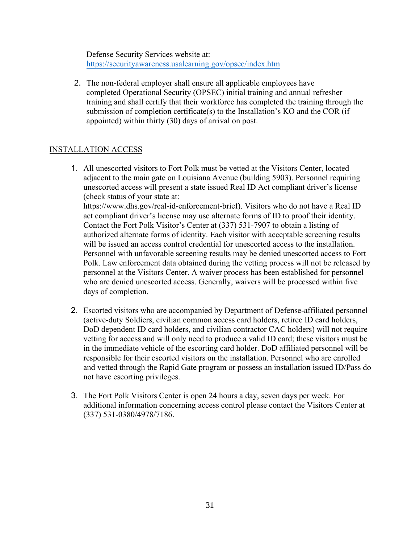Defense Security Services website at: <https://securityawareness.usalearning.gov/opsec/index.htm>

2. The non-federal employer shall ensure all applicable employees have completed Operational Security (OPSEC) initial training and annual refresher training and shall certify that their workforce has completed the training through the submission of completion certificate(s) to the Installation's KO and the COR (if appointed) within thirty (30) days of arrival on post.

# INSTALLATION ACCESS

- 1. All unescorted visitors to Fort Polk must be vetted at the Visitors Center, located adjacent to the main gate on Louisiana Avenue (building 5903). Personnel requiring unescorted access will present a state issued Real ID Act compliant driver's license (check status of your state at: https://www.dhs.gov/real-id-enforcement-brief). Visitors who do not have a Real ID act compliant driver's license may use alternate forms of ID to proof their identity. Contact the Fort Polk Visitor's Center at (337) 531-7907 to obtain a listing of authorized alternate forms of identity. Each visitor with acceptable screening results will be issued an access control credential for unescorted access to the installation. Personnel with unfavorable screening results may be denied unescorted access to Fort Polk. Law enforcement data obtained during the vetting process will not be released by personnel at the Visitors Center. A waiver process has been established for personnel who are denied unescorted access. Generally, waivers will be processed within five days of completion.
- 2. Escorted visitors who are accompanied by Department of Defense-affiliated personnel (active-duty Soldiers, civilian common access card holders, retiree ID card holders, DoD dependent ID card holders, and civilian contractor CAC holders) will not require vetting for access and will only need to produce a valid ID card; these visitors must be in the immediate vehicle of the escorting card holder. DoD affiliated personnel will be responsible for their escorted visitors on the installation. Personnel who are enrolled and vetted through the Rapid Gate program or possess an installation issued ID/Pass do not have escorting privileges.
- 3. The Fort Polk Visitors Center is open 24 hours a day, seven days per week. For additional information concerning access control please contact the Visitors Center at (337) 531-0380/4978/7186.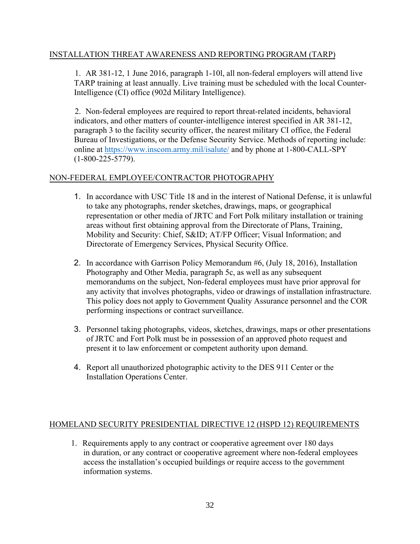## INSTALLATION THREAT AWARENESS AND REPORTING PROGRAM (TARP)

1. AR 381-12, 1 June 2016, paragraph 1-10l, all non-federal employers will attend live TARP training at least annually. Live training must be scheduled with the local Counter-Intelligence (CI) office (902d Military Intelligence).

2. Non-federal employees are required to report threat-related incidents, behavioral indicators, and other matters of counter-intelligence interest specified in AR 381-12, paragraph 3 to the facility security officer, the nearest military CI office, the Federal Bureau of Investigations, or the Defense Security Service. Methods of reporting include: online at <https://www.inscom.army.mil/isalute/> and by phone at 1-800-CALL-SPY (1-800-225-5779).

# NON-FEDERAL EMPLOYEE/CONTRACTOR PHOTOGRAPHY

- 1. In accordance with USC Title 18 and in the interest of National Defense, it is unlawful to take any photographs, render sketches, drawings, maps, or geographical representation or other media of JRTC and Fort Polk military installation or training areas without first obtaining approval from the Directorate of Plans, Training, Mobility and Security: Chief, S&ID; AT/FP Officer; Visual Information; and Directorate of Emergency Services, Physical Security Office.
- 2. In accordance with Garrison Policy Memorandum #6, (July 18, 2016), Installation Photography and Other Media, paragraph 5c, as well as any subsequent memorandums on the subject, Non-federal employees must have prior approval for any activity that involves photographs, video or drawings of installation infrastructure. This policy does not apply to Government Quality Assurance personnel and the COR performing inspections or contract surveillance.
- 3. Personnel taking photographs, videos, sketches, drawings, maps or other presentations of JRTC and Fort Polk must be in possession of an approved photo request and present it to law enforcement or competent authority upon demand.
- 4. Report all unauthorized photographic activity to the DES 911 Center or the Installation Operations Center.

### HOMELAND SECURITY PRESIDENTIAL DIRECTIVE 12 (HSPD 12) REQUIREMENTS

1. Requirements apply to any contract or cooperative agreement over 180 days in duration, or any contract or cooperative agreement where non-federal employees access the installation's occupied buildings or require access to the government information systems.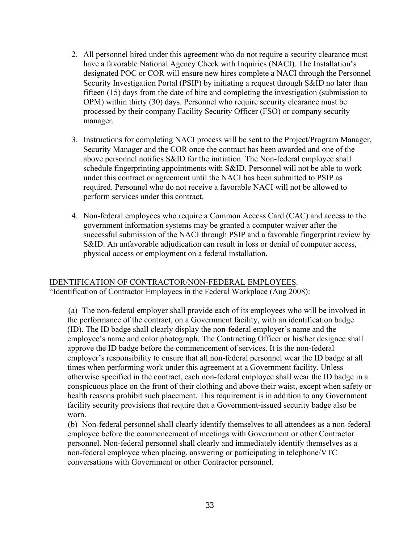- 2. All personnel hired under this agreement who do not require a security clearance must have a favorable National Agency Check with Inquiries (NACI). The Installation's designated POC or COR will ensure new hires complete a NACI through the Personnel Security Investigation Portal (PSIP) by initiating a request through S&ID no later than fifteen (15) days from the date of hire and completing the investigation (submission to OPM) within thirty (30) days. Personnel who require security clearance must be processed by their company Facility Security Officer (FSO) or company security manager.
- 3. Instructions for completing NACI process will be sent to the Project/Program Manager, Security Manager and the COR once the contract has been awarded and one of the above personnel notifies S&ID for the initiation. The Non-federal employee shall schedule fingerprinting appointments with S&ID. Personnel will not be able to work under this contract or agreement until the NACI has been submitted to PSIP as required. Personnel who do not receive a favorable NACI will not be allowed to perform services under this contract.
- 4. Non-federal employees who require a Common Access Card (CAC) and access to the government information systems may be granted a computer waiver after the successful submission of the NACI through PSIP and a favorable fingerprint review by S&ID. An unfavorable adjudication can result in loss or denial of computer access, physical access or employment on a federal installation.

#### IDENTIFICATION OF CONTRACTOR/NON-FEDERAL EMPLOYEES. "Identification of Contractor Employees in the Federal Workplace (Aug 2008):

(a) The non-federal employer shall provide each of its employees who will be involved in the performance of the contract, on a Government facility, with an identification badge (ID). The ID badge shall clearly display the non-federal employer's name and the employee's name and color photograph. The Contracting Officer or his/her designee shall approve the ID badge before the commencement of services. It is the non-federal employer's responsibility to ensure that all non-federal personnel wear the ID badge at all times when performing work under this agreement at a Government facility. Unless otherwise specified in the contract, each non-federal employee shall wear the ID badge in a conspicuous place on the front of their clothing and above their waist, except when safety or health reasons prohibit such placement. This requirement is in addition to any Government facility security provisions that require that a Government-issued security badge also be worn.

(b) Non-federal personnel shall clearly identify themselves to all attendees as a non-federal employee before the commencement of meetings with Government or other Contractor personnel. Non-federal personnel shall clearly and immediately identify themselves as a non-federal employee when placing, answering or participating in telephone/VTC conversations with Government or other Contractor personnel.